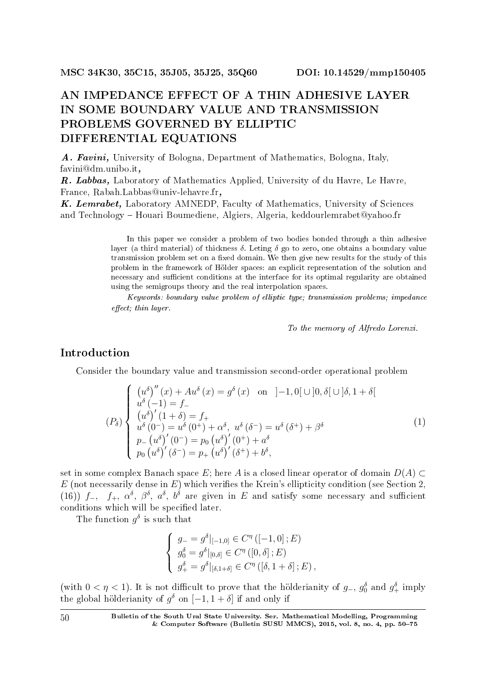# AN IMPEDANCE EFFECT OF A THIN ADHESIVE LAYER IN SOME BOUNDARY VALUE AND TRANSMISSION PROBLEMS GOVERNED BY ELLIPTIC DIFFERENTIAL EQUATIONS

A. Favini, University of Bologna, Department of Mathematics, Bologna, Italy, favini@dm.unibo.it,

R. Labbas, Laboratory of Mathematics Applied, University of du Havre, Le Havre, France, Rabah.Labbas@univ-lehavre.fr,

K. Lemrabet, Laboratory AMNEDP, Faculty of Mathematics, University of Sciences and Technology - Houari Boumediene, Algiers, Algeria, keddourlemrabet@yahoo.fr

> In this paper we consider a problem of two bodies bonded through a thin adhesive layer (a third material) of thickness *δ*. Leting *δ* go to zero, one obtains a boundary value transmission problem set on a fixed domain. We then give new results for the study of this problem in the framework of Holder spaces: an explicit representation of the solution and necessary and sufficient conditions at the interface for its optimal regularity are obtained using the semigroups theory and the real interpolation spaces.

> Keywords: boundary value problem of elliptic type; transmission problems; impedance  $effect: thin\;laver.$

> > To the memory of Alfredo Lorenzi.

## Introduction

Consider the boundary value and transmission second-order operational problem

$$
(P_{\delta})\begin{cases}\n(u^{\delta})''(x) + Au^{\delta}(x) = g^{\delta}(x) & \text{on } ]-1,0[\cup]0,\delta[\cup]\delta,1+\delta[\\
u^{\delta}(-1) = f_{-} \\
(u^{\delta})'(1+\delta) = f_{+} \\
u^{\delta}(0^{-}) = u^{\delta}(0^{+}) + \alpha^{\delta}, u^{\delta}(\delta^{-}) = u^{\delta}(\delta^{+}) + \beta^{\delta}\\
p_{-}(u^{\delta})'(0^{-}) = p_{0}(u^{\delta})'(0^{+}) + a^{\delta}\\
p_{0}(u^{\delta})'(0^{-}) = p_{+}(u^{\delta})'(0^{+}) + b^{\delta},\n\end{cases}
$$
\n(1)

set in some complex Banach space *E*; here *A* is a closed linear operator of domain  $D(A) \subset$  $E$  (not necessarily dense in  $E$ ) which verifies the Krein's ellipticity condition (see Section 2, (16))  $f$ <sub>−</sub>,  $f$ <sub>+</sub>,  $\alpha^{\delta}$ ,  $\beta^{\delta}$ ,  $a^{\delta}$ ,  $b^{\delta}$  are given in *E* and satisfy some necessary and sufficient conditions which will be specified later.

The function  $g^{\delta}$  is such that

$$
\begin{cases}\n g_{-} = g^{\delta}|_{[-1,0]} \in C^{\eta} ([-1,0]; E) \\
 g_0^{\delta} = g^{\delta}|_{[0,\delta]} \in C^{\eta} ([0,\delta]; E) \\
 g_+^{\delta} = g^{\delta}|_{[\delta,1+\delta]} \in C^{\eta} ([\delta, 1+\delta]; E),\n\end{cases}
$$

(with  $0 < \eta < 1$ ). It is not difficult to prove that the holderianity of  $g_{-}$ ,  $g_0^{\delta}$  and  $g_{+}^{\delta}$  imply the global hölderianity of  $g^{\delta}$  on  $[-1, 1 + \delta]$  if and only if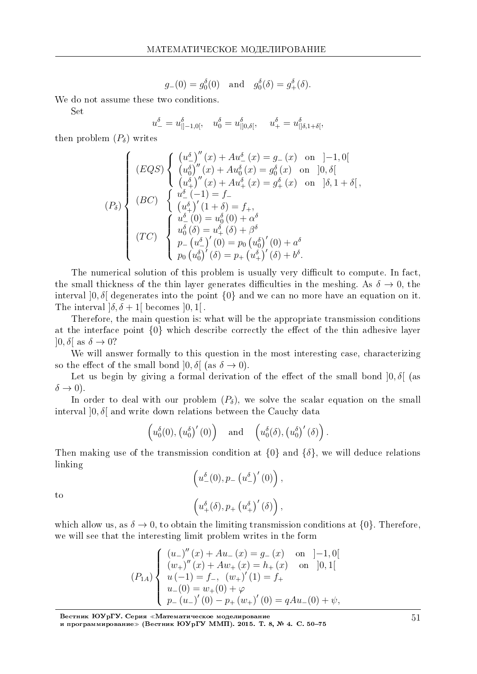$$
g_{-}(0) = g_0^{\delta}(0)
$$
 and  $g_0^{\delta}(\delta) = g_+^{\delta}(\delta)$ .

We do not assume these two conditions.

Set

$$
u_-^{\delta} = u_{\vert ]-1,0[}^{\delta}, \quad u_0^{\delta} = u_{\vert ]0,\delta[}^{\delta}, \quad u_+^{\delta} = u_{\vert ]\delta,1+\delta[}^{\delta},
$$

then problem  $(P_{\delta})$  writes

$$
(P_{\delta}) \begin{cases} (LQS) \begin{cases} (u_{-}^{\delta})''(x) + Au_{-}^{\delta}(x) = g_{-}(x) & \text{on } ]-1,0[\\ (u_{0}^{\delta})''(x) + Au_{0}^{\delta}(x) = g_{0}^{\delta}(x) & \text{on } ]0,\delta[\\ (u_{+}^{\delta})''(x) + Au_{+}^{\delta}(x) = g_{+}^{\delta}(x) & \text{on } ]\delta,1+\delta[\\ (BC) \begin{cases} u_{-}^{\delta}(-1) = f_{-}\\ (u_{+}^{\delta})'(1+\delta) = f_{+},\\ u_{-}^{\delta}(0) = u_{0}^{\delta}(0) + \alpha^{\delta}\\ u_{0}^{\delta}(\delta) = u_{+}^{\delta}(\delta) + \beta^{\delta}\\ p_{-}(u_{-}^{\delta})'(0) = p_{0}(u_{0}^{\delta})'(0) + a^{\delta}\\ p_{0}(u_{0}^{\delta})'( \delta) = p_{+}(u_{+}^{\delta})'(\delta) + b^{\delta}.\end{cases} \end{cases}
$$

The numerical solution of this problem is usually very difficult to compute. In fact. the small thickness of the thin layer generates difficulties in the meshing. As  $\delta \to 0$ , the interval  $[0, \delta]$  degenerates into the point  $\{0\}$  and we can no more have an equation on it. The interval  $\delta, \delta + 1$  becomes  $[0, 1]$ .

Therefore, the main question is: what will be the appropriate transmission conditions at the interface point  $\{0\}$  which describe correctly the effect of the thin adhesive layer  $[0, \delta]$  as  $\delta \rightarrow 0$ ?

We will answer formally to this question in the most interesting case, characterizing so the effect of the small bond  $[0, \delta]$  (as  $\delta \to 0$ ).

Let us begin by giving a formal derivation of the effect of the small bond  $[0, \delta]$  (as  $\delta \rightarrow 0$ ).

In order to deal with our problem  $(P_{\delta})$ , we solve the scalar equation on the small interval  $[0, \delta]$  and write down relations between the Cauchy data

$$
\left(u_0^{\delta}(0), (u_0^{\delta})'(0)\right)
$$
 and  $\left(u_0^{\delta}(\delta), (u_0^{\delta})'(\delta)\right)$ 

Then making use of the transmission condition at  $\{0\}$  and  $\{\delta\}$ , we will deduce relations linking

$$
\left(u_{-}^{\delta}(0), p_{-}(u_{-}^{\delta})'(0)\right),
$$

$$
\left(u_{+}^{\delta}(\delta), p_{+}(u_{+}^{\delta})'(\delta)\right),
$$

to

which allow us, as  $\delta \to 0$ , to obtain the limiting transmission conditions at  $\{0\}$ . Therefore, we will see that the interesting limit problem writes in the form

$$
(P_{1A})\begin{cases} (u_{-})''(x) + Au_{-}(x) = g_{-}(x) \quad \text{on} \quad ]-1,0[\\ (w_{+})''(x) + Aw_{+}(x) = h_{+}(x) \quad \text{on} \quad ]0,1[\\ u(-1) = f_{-}, (w_{+})'(1) = f_{+}\\ u_{-}(0) = w_{+}(0) + \varphi\\ p_{-}(u_{-})'(0) - p_{+}(w_{+})'(0) = qAu_{-}(0) + \psi, \end{cases}
$$

Вестник ЮУрГУ. Серия «Математическое моделирование<br>и программирование» (Вестник ЮУрГУ ММП). 2015. Т. 8, № 4. С. 50–75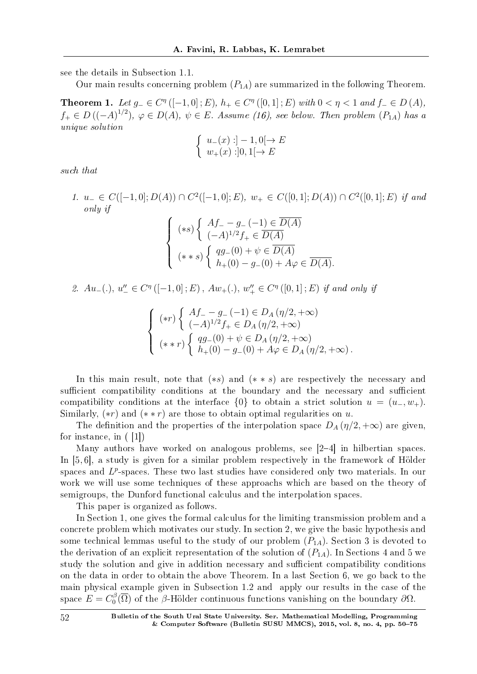see the details in Subsection 1.1.

Our main results concerning problem  $(P_{1A})$  are summarized in the following Theorem.

**Theorem 1.** Let  $g_- \in C^{\eta}([-1,0];E)$ ,  $h_+ \in C^{\eta}([0,1];E)$  with  $0 < \eta < 1$  and  $f_- \in D(A)$ , *f*<sub>+</sub>  $∈$  *D*( $(-A)^{1/2}$ ),  $φ ∈ D(A)$ ,  $ψ ∈ E$ . Assume (16), see below. Then problem  $(P_{1A})$  has a unique solution

$$
\left\{\begin{array}{l} u_-(x):]-1,0[\to E\\ w_+(x):]0,1[\to E\end{array}\right.
$$

such that

1.  $u_{-} \in C([-1,0];D(A)) \cap C^2([-1,0];E), w_{+} \in C([0,1];D(A)) \cap C^2([0,1];E)$  if and only if

$$
\begin{cases}\n(*s) \left\{ \begin{array}{l} Af_{-} - g_{-}(-1) \in \overline{D(A)} \\
(-A)^{1/2} f_{+} \in \overline{D(A)}\n\end{array} \right. \\
(*s) \left\{ \begin{array}{l} qg_{-}(0) + \psi \in \overline{D(A)} \\
h_{+}(0) - g_{-}(0) + A\varphi \in \overline{D(A)}\n\end{array} \right. \\
\end{cases}
$$

2.  $Au_{-}(.)$ ,  $u_{-}^{"} \in C^{\eta}([-1,0];E)$ ,  $Aw_{+}(.)$ ,  $w_{+}^{"} \in C^{\eta}([0,1];E)$  if and only if

$$
\left\{\n\begin{array}{l}\n\left(*r\right) \left\{\n\begin{array}{l}\nAf_{-} - g_{-}(-1) \in D_{A}\left(\eta/2, +\infty\right) \\
(-A)^{1/2} f_{+} \in D_{A}\left(\eta/2, +\infty\right)\n\end{array}\right.\right. \\
\left(*r\right) \left\{\n\begin{array}{l}\nqg_{-}(0) + \psi \in D_{A}\left(\eta/2, +\infty\right) \\
h_{+}(0) - g_{-}(0) + A\varphi \in D_{A}\left(\eta/2, +\infty\right).\n\end{array}\n\right.\n\end{array}
$$

In this main result, note that (*∗s*) and (*∗ ∗ s*) are respectively the necessary and sufficient compatibility conditions at the boundary and the necessary and sufficient compatibility conditions at the interface  $\{0\}$  to obtain a strict solution  $u = (u_-, w_+)$ . Similarly, (*∗r*) and (*∗ ∗ r*) are those to obtain optimal regularities on *u.*

The definition and the properties of the interpolation space  $D_A(\eta/2, +\infty)$  are given, for instance, in ( [1])

Many authors have worked on analogous problems, see [24] in hilbertian spaces. In [5, 6], a study is given for a similar problem respectively in the framework of Holder spaces and L<sup>p</sup>-spaces. These two last studies have considered only two materials. In our work we will use some techniques of these approachs which are based on the theory of semigroups, the Dunford functional calculus and the interpolation spaces.

This paper is organized as follows.

In Section 1, one gives the formal calculus for the limiting transmission problem and a concrete problem which motivates our study. In section 2, we give the basic hypothesis and some technical lemmas useful to the study of our problem  $(P_{1A})$ . Section 3 is devoted to the derivation of an explicit representation of the solution of  $(P_{1A})$ . In Sections 4 and 5 we study the solution and give in addition necessary and sufficient compatibility conditions on the data in order to obtain the above Theorem. In a last Section 6, we go back to the main physical example given in Subsection 1.2 and apply our results in the case of the space  $E = C_0^{\beta}$  $\frac{\partial}{\partial \Omega}$  of the *β*-Hölder continuous functions vanishing on the boundary  $\partial \Omega$ *.*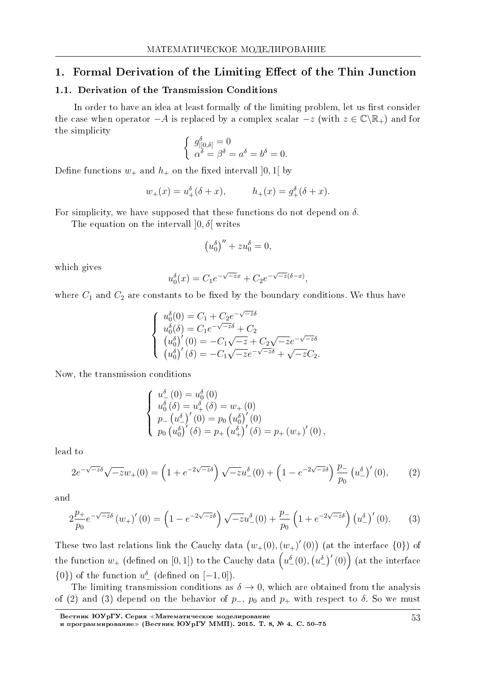## 1. Formal Derivation of the Limiting Effect of the Thin Junction

#### 1.1. Derivation of the Transmission Conditions

In order to have an idea at least formally of the limiting problem, let us first consider the case when operator  $-A$  is replaced by a complex scalar  $-z$  (with  $z \in \mathbb{C} \setminus \mathbb{R}_+$ ) and for the simplicity

$$
\begin{cases} g_{\parallel 0,\delta\parallel}^{\delta} = 0\\ \alpha^{\delta} = \beta^{\delta} = a^{\delta} = b^{\delta} = 0. \end{cases}
$$

Define functions  $w_+$  and  $h_+$  on the fixed intervall [0, 1] by

$$
w_{+}(x) = u_{+}^{\delta}(\delta + x),
$$
  $h_{+}(x) = g_{+}^{\delta}(\delta + x).$ 

For simplicity, we have supposed that these functions do not depend on  $\delta$ .

The equation on the intervall  $[0, \delta]$  writes

$$
\left(u_0^\delta\right)''+zu_0^\delta=0
$$

which gives

$$
u_0^{\delta}(x) = C_1 e^{-\sqrt{-z}x} + C_2 e^{-\sqrt{-z}(\delta - x)}
$$

where  $C_1$  and  $C_2$  are constants to be fixed by the boundary conditions. We thus have

$$
\begin{cases}\nu_0^{\delta}(0) = C_1 + C_2 e^{-\sqrt{-z}\delta} \\
u_0^{\delta}(\delta) = C_1 e^{-\sqrt{-z}\delta} + C_2 \\
(u_0^{\delta})'(0) = -C_1 \sqrt{-z} + C_2 \sqrt{-z} e^{-\sqrt{-z}\delta} \\
(u_0^{\delta})'(\delta) = -C_1 \sqrt{-z} e^{-\sqrt{-z}\delta} + \sqrt{-z} C_2\n\end{cases}
$$

Now, the transmission conditions

$$
\begin{cases}\n u_0^{\delta}(0) = u_0^{\delta}(0) \\
 u_0^{\delta}(\delta) = u_+^{\delta}(\delta) = w_+(0) \\
 p_-(u_-^{\delta})'(0) = p_0 (u_0^{\delta})'(0) \\
 p_0 (u_0^{\delta})'(\delta) = p_+(u_+^{\delta})'(\delta) = p_+(w_+)'(0)\n\end{cases}
$$

lead to

$$
2e^{-\sqrt{-z}\delta}\sqrt{-z}w_{+}(0) = \left(1 + e^{-2\sqrt{-z}\delta}\right)\sqrt{-z}u_{-}^{\delta}(0) + \left(1 - e^{-2\sqrt{-z}\delta}\right)\frac{p_{-}}{p_{0}}\left(u_{-}^{\delta}\right)'(0),\tag{2}
$$

and

$$
2\frac{p_{+}}{p_{0}}e^{-\sqrt{-z}\delta} (w_{+})'(0) = \left(1 - e^{-2\sqrt{-z}\delta}\right)\sqrt{-z}u_{-}^{\delta}(0) + \frac{p_{-}}{p_{0}}\left(1 + e^{-2\sqrt{-z}\delta}\right)\left(u_{-}^{\delta}\right)'(0). \tag{3}
$$

These two last relations link the Cauchy data  $(w_{+}(0), (w_{+})'(0))$  (at the interface  $\{0\}$ ) of the function  $w_+$  (defined on [0,1]) to the Cauchy data  $(u_-(0), (u_-^{\delta})'(0))$  (at the interface  $\{0\}$  of the function  $u^{\delta}$  (defined on  $[-1,0]$ ).

The limiting transmission conditions as  $\delta \rightarrow 0$ , which are obtained from the analysis of (2) and (3) depend on the behavior of  $p_-, p_0$  and  $p_+$  with respect to  $\delta$ . So we must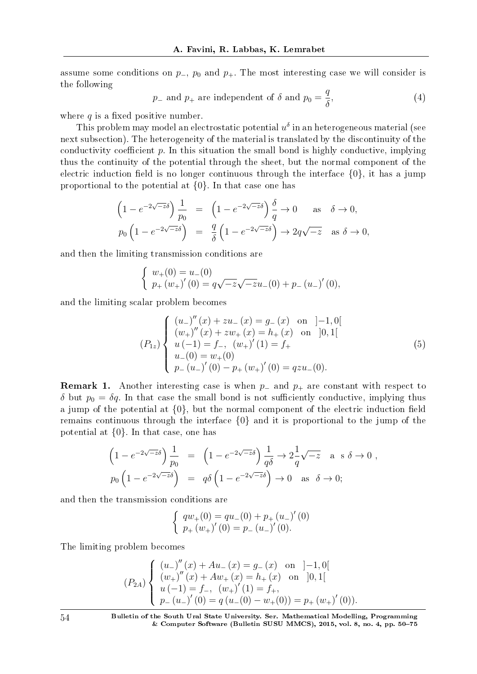assume some conditions on  $p_-, p_0$  and  $p_+$ . The most interesting case we will consider is the following

$$
p_{-}
$$
 and  $p_{+}$  are independent of  $\delta$  and  $p_{0} = \frac{q}{\delta}$ , (4)

where  $q$  is a fixed positive number.

This problem may model an electrostatic potential  $u^\delta$  in an heterogeneous material (see next subsection). The heterogeneity of the material is translated by the discontinuity of the conductivity coefficient  $p$ . In this situation the small bond is highly conductive, implying thus the continuity of the potential through the sheet, but the normal component of the electric induction field is no longer continuous through the interface  $\{0\}$ , it has a jump proportional to the potential at *{*0*}*. In that case one has

$$
\left(1 - e^{-2\sqrt{-z}\delta}\right) \frac{1}{p_0} = \left(1 - e^{-2\sqrt{-z}\delta}\right) \frac{\delta}{q} \to 0 \quad \text{as} \quad \delta \to 0,
$$
  

$$
p_0 \left(1 - e^{-2\sqrt{-z}\delta}\right) = \frac{q}{\delta} \left(1 - e^{-2\sqrt{-z}\delta}\right) \to 2q\sqrt{-z} \quad \text{as} \quad \delta \to 0,
$$

and then the limiting transmission conditions are

$$
\begin{cases}\nw_{+}(0) = u_{-}(0) \\
p_{+}(w_{+})'(0) = q\sqrt{-z}\sqrt{-z}u_{-}(0) + p_{-}(u_{-})'(0),\n\end{cases}
$$

and the limiting scalar problem becomes

$$
(P_{1z})\begin{cases} (u_{-})''(x) + zu_{-}(x) = g_{-}(x) \text{ on } ]-1,0[\\ (w_{+})''(x) + zw_{+}(x) = h_{+}(x) \text{ on } ]0,1[\\ u(-1) = f_{-}, (w_{+})'(1) = f_{+}\\ u_{-}(0) = w_{+}(0) \\ p_{-}(u_{-})'(0) - p_{+}(w_{+})'(0) = qzu_{-}(0). \end{cases}
$$
(5)

**Remark 1.** Another interesting case is when  $p$ <sup>*-*</sup> and  $p$ <sup>+</sup> are constant with respect to *δ* but  $p_0 = δq$ . In that case the small bond is not sufficiently conductive, implying thus a jump of the potential at  $\{0\}$ , but the normal component of the electric induction field remains continuous through the interface *{*0*}* and it is proportional to the jump of the potential at *{*0*}*. In that case, one has

$$
\left(1 - e^{-2\sqrt{-z}\delta}\right) \frac{1}{p_0} = \left(1 - e^{-2\sqrt{-z}\delta}\right) \frac{1}{q\delta} \to 2\frac{1}{q}\sqrt{-z} \text{ a } s \delta \to 0,
$$
  

$$
p_0 \left(1 - e^{-2\sqrt{-z}\delta}\right) = q\delta \left(1 - e^{-2\sqrt{-z}\delta}\right) \to 0 \text{ as } \delta \to 0;
$$

and then the transmission conditions are

$$
\begin{cases}\nqw_{+}(0) = qu_{-}(0) + p_{+}(u_{-})'(0) \\
p_{+}(w_{+})'(0) = p_{-}(u_{-})'(0).\n\end{cases}
$$

The limiting problem becomes

$$
(P_{2A})\begin{cases} (u_{-})''(x) + Au_{-}(x) = g_{-}(x) \text{ on } ]-1,0[\\ (w_{+})''(x) + Aw_{+}(x) = h_{+}(x) \text{ on } ]0,1[\\ u(-1) = f_{-}, (w_{+})'(1) = f_{+},\\ p_{-}(u_{-})'(0) = q(u_{-}(0) - w_{+}(0)) = p_{+}(w_{+})'(0)).\end{cases}
$$

54 Bulletin of the South Ural State University. Ser. Mathematical Modelling, Programming & Computer Software (Bulletin SUSU MMCS), 2015, vol. 8, no. 4, pp. 5075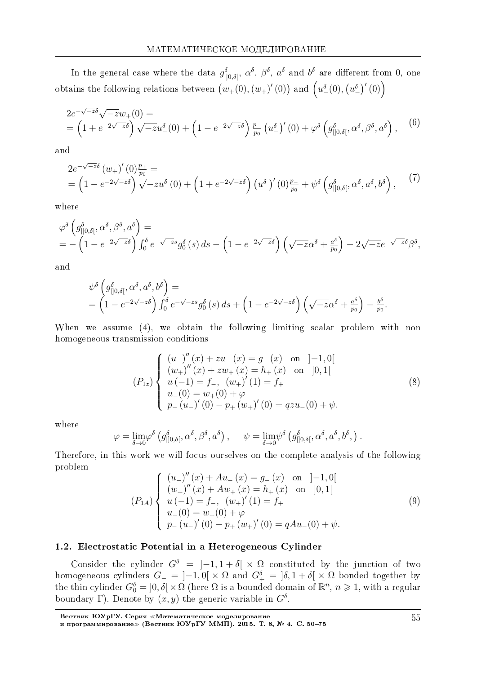In the general case where the data  $g_{|0,\delta|}^{\delta}$ ,  $\alpha^{\delta}$ ,  $\beta^{\delta}$ ,  $\alpha^{\delta}$  and  $b^{\delta}$  are different from 0, one obtains the following relations between  $(w_+(0), (w_+)'(0))$  and  $(u_-'(0), (u_-')'(0))$ 

$$
2e^{-\sqrt{-z}\delta}\sqrt{-z}w_{+}(0) =
$$
  
=  $\left(1 + e^{-2\sqrt{-z}\delta}\right)\sqrt{-z}u_{-}^{\delta}(0) + \left(1 - e^{-2\sqrt{-z}\delta}\right)\frac{p_{-}}{p_{0}}\left(u_{-}^{\delta}\right)'(0) + \varphi^{\delta}\left(g_{|]0,\delta[}^{\delta},\alpha^{\delta},\beta^{\delta},a^{\delta}\right),$  (6)

and

$$
2e^{-\sqrt{-z}\delta} (w_{+})'(0)^{\frac{p_{+}}{p_{0}}} =
$$
  
=  $\left(1 - e^{-2\sqrt{-z}\delta}\right)\sqrt{-z}u_{-}^{\delta}(0) + \left(1 + e^{-2\sqrt{-z}\delta}\right)\left(u_{-}^{\delta}\right)'(0)^{\frac{p_{-}}{p_{0}}} + \psi^{\delta}\left(g_{[0,\delta]}^{\delta},\alpha^{\delta},a^{\delta},b^{\delta}\right),$  (7)

where

$$
\varphi^{\delta}\left(g_{\parallel 0,\delta[}^{\delta},\alpha^{\delta},\beta^{\delta},a^{\delta}\right)=\n= -\left(1 - e^{-2\sqrt{-z}\delta}\right)\int_{0}^{\delta}e^{-\sqrt{-z}s}g_{0}^{\delta}\left(s\right)ds - \left(1 - e^{-2\sqrt{-z}\delta}\right)\left(\sqrt{-z}\alpha^{\delta} + \frac{a^{\delta}}{p_{0}}\right) - 2\sqrt{-z}e^{-\sqrt{-z}\delta}\beta^{\delta},
$$

and

$$
\psi^{\delta}\left(g_{\parallel 0,\delta[}^{\delta},\alpha^{\delta},a^{\delta},b^{\delta}\right)=\n= \left(1-e^{-2\sqrt{-z}\delta}\right)\int_{0}^{\delta}e^{-\sqrt{-z}s}g_{0}^{\delta}\left(s\right)ds+\left(1-e^{-2\sqrt{-z}\delta}\right)\left(\sqrt{-z}\alpha^{\delta}+\frac{a^{\delta}}{p_{0}}\right)-\frac{b^{\delta}}{p_{0}}.
$$

When we assume  $(4)$ , we obtain the following limiting scalar problem with non homogeneous transmission conditions

$$
(P_{1z})\begin{cases} (u_{-})''(x) + zu_{-}(x) = g_{-}(x) \text{ on } ]-1,0[\\ (w_{+})''(x) + zw_{+}(x) = h_{+}(x) \text{ on } ]0,1[\\ u(-1) = f_{-}, (w_{+})'(1) = f_{+}\\ u_{-}(0) = w_{+}(0) + \varphi\\ p_{-}(u_{-})'(0) - p_{+}(w_{+})'(0) = qzu_{-}(0) + \psi. \end{cases}
$$
(8)

where

$$
\varphi = \lim_{\delta \to 0} \varphi^{\delta} \left( g^{\delta}_{\parallel 0, \delta[}, \alpha^{\delta}, \beta^{\delta}, a^{\delta} \right), \quad \psi = \lim_{\delta \to 0} \psi^{\delta} \left( g^{\delta}_{\parallel 0, \delta[}, \alpha^{\delta}, a^{\delta}, b^{\delta}, \right).
$$

Therefore, in this work we will focus ourselves on the complete analysis of the following problem

$$
(P_{1A})\begin{cases} (u_{-})''(x) + Au_{-}(x) = g_{-}(x) \text{ on } ]-1,0[\\ (w_{+})''(x) + Aw_{+}(x) = h_{+}(x) \text{ on } ]0,1[\\ u(-1) = f_{-}, (w_{+})'(1) = f_{+}\\ u_{-}(0) = w_{+}(0) + \varphi\\ p_{-}(u_{-})'(0) - p_{+}(w_{+})'(0) = qAu_{-}(0) + \psi. \end{cases}
$$
(9)

#### 1.2. Electrostatic Potential in a Heterogeneous Cylinder

Consider the cylinder  $G^{\delta} = [-1, 1 + \delta] \times \Omega$  constituted by the junction of two homogeneous cylinders  $G_{-} = [-1,0] \times \Omega$  and  $G_{+}^{\delta} = [\delta, 1 + \delta] \times \Omega$  bonded together by the thin cylinder  $G_0^{\delta} = [0, \delta] \times \Omega$  (here  $\Omega$  is a bounded domain of  $\mathbb{R}^n$ ,  $n \geq 1$ , with a regular boundary  $\Gamma$ ). Denote by  $(x, y)$  the generic variable in  $G^{\delta}$ .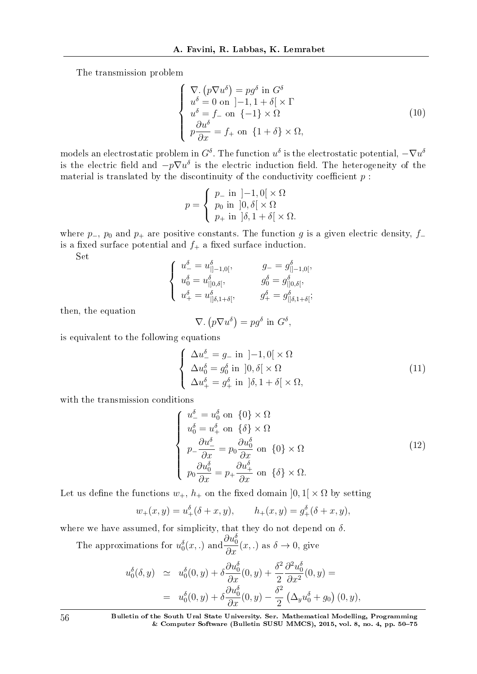The transmission problem

$$
\begin{cases}\n\nabla. (p\nabla u^{\delta}) = pg^{\delta} \text{ in } G^{\delta} \\
u^{\delta} = 0 \text{ on } ]-1, 1 + \delta[ \times \Gamma] \\
u^{\delta} = f_{-} \text{ on } \{-1\} \times \Omega \\
p\frac{\partial u^{\delta}}{\partial x} = f_{+} \text{ on } \{1 + \delta\} \times \Omega,\n\end{cases}
$$
\n(10)

 $\mod$  an electrostatic problem in  $G^\delta$ . The function  $u^\delta$  is the electrostatic potential,  $-\nabla u^\delta$ is the electric field and  $-p\nabla u^\delta$  is the electric induction field. The heterogeneity of the material is translated by the discontinuity of the conductivity coefficient  $p$ :

$$
p = \begin{cases} p_- \text{ in } ]-1,0[ \times \Omega \\ p_0 \text{ in } ]0,\delta[ \times \Omega \\ p_+ \text{ in } ]\delta,1+\delta[ \times \Omega. \end{cases}
$$

where  $p$ <sub>−</sub>,  $p_0$  and  $p_+$  are positive constants. The function *g* is a given electric density,  $f_$ is a fixed surface potential and  $f_+$  a fixed surface induction.

Set

$$
\left\{ \begin{array}{ll} u^\delta_-=u^\delta_{|]-1,0[}, & \qquad g_-=g^\delta_{|]-1,0[},\\ u^\delta_0=u^\delta_{|]0,\delta[}, & \qquad g^\delta_0=g^\delta_{|]0,\delta[},\\ u^\delta_+=u^\delta_{|] \delta,1+\delta[}, & \qquad g^\delta_+=g^\delta_{|] \delta,1+\delta[}; \end{array} \right.
$$

then, the equation

$$
\nabla. (p\nabla u^{\delta}) = pg^{\delta} \text{ in } G^{\delta},
$$

is equivalent to the following equations

$$
\begin{cases}\n\Delta u_{-}^{\delta} = g_{-} \text{ in } ]-1,0[ \times \Omega \\
\Delta u_{0}^{\delta} = g_{0}^{\delta} \text{ in } ]0,\delta[ \times \Omega \\
\Delta u_{+}^{\delta} = g_{+}^{\delta} \text{ in } ]\delta,1+\delta[ \times \Omega,\n\end{cases}
$$
\n(11)

with the transmission conditions

$$
\begin{cases}\n u_{-}^{\delta} = u_{0}^{\delta} \text{ on } \{0\} \times \Omega \\
 u_{0}^{\delta} = u_{+}^{\delta} \text{ on } \{\delta\} \times \Omega \\
 p_{-} \frac{\partial u_{-}^{\delta}}{\partial x} = p_{0} \frac{\partial u_{0}^{\delta}}{\partial x} \text{ on } \{0\} \times \Omega \\
 p_{0} \frac{\partial u_{0}^{\delta}}{\partial x} = p_{+} \frac{\partial u_{+}^{\delta}}{\partial x} \text{ on } \{\delta\} \times \Omega.\n\end{cases}
$$
\n(12)

Let us define the functions  $w_+$ ,  $h_+$  on the fixed domain  $]0,1[\times \Omega$  by setting

$$
w_+(x, y) = u_+^{\delta}(\delta + x, y),
$$
  $h_+(x, y) = g_+^{\delta}(\delta + x, y),$ 

where we have assumed, for simplicity, that they do not depend on *δ*.

The approximations for  $u_0^{\delta}(x,.)$  and  $\frac{\partial u_0^{\delta}}{\partial x}(x,.)$  as  $\delta \to 0$ , give

$$
u_0^{\delta}(\delta, y) \simeq u_0^{\delta}(0, y) + \delta \frac{\partial u_0^{\delta}}{\partial x}(0, y) + \frac{\delta^2}{2} \frac{\partial^2 u_0^{\delta}}{\partial x^2}(0, y) =
$$
  
= 
$$
u_0^{\delta}(0, y) + \delta \frac{\partial u_0^{\delta}}{\partial x}(0, y) - \frac{\delta^2}{2} (\Delta_y u_0^{\delta} + g_0)(0, y),
$$

56 Bulletin of the South Ural State University. Ser. Mathematical Modelling, Programming & Computer Software (Bulletin SUSU MMCS), 2015, vol. 8, no. 4, pp.  $50-75$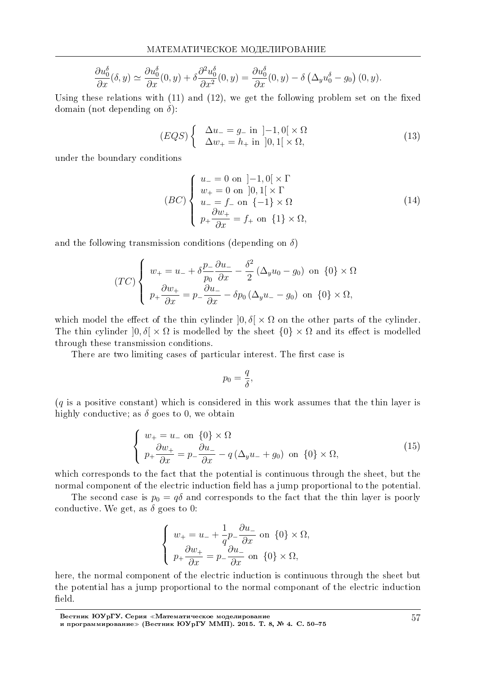$$
\frac{\partial u_0^{\delta}}{\partial x}(\delta, y) \simeq \frac{\partial u_0^{\delta}}{\partial x}(0, y) + \delta \frac{\partial^2 u_0^{\delta}}{\partial x^2}(0, y) = \frac{\partial u_0^{\delta}}{\partial x}(0, y) - \delta \left(\Delta_y u_0^{\delta} - g_0\right)(0, y).
$$

Using these relations with  $(11)$  and  $(12)$ , we get the following problem set on the fixed domain (not depending on *δ*):

$$
(EQS)\begin{cases} \Delta u_{-} = g_{-} \text{ in } ]-1,0[\times \Omega] \\ \Delta w_{+} = h_{+} \text{ in } ]0,1[\times \Omega, \end{cases}
$$
\n(13)

under the boundary conditions

$$
(BC)\begin{cases}u_{-} = 0 \text{ on } ]-1,0[\times \Gamma] \\ w_{+} = 0 \text{ on } ]0,1[\times \Gamma] \\ u_{-} = f_{-} \text{ on } \{-1\} \times \Omega \\ p_{+} \frac{\partial w_{+}}{\partial x} = f_{+} \text{ on } \{1\} \times \Omega, \end{cases}
$$
(14)

and the following transmission conditions (depending on *δ*)

$$
(TC)\begin{cases} w_+ = u_- + \delta \frac{p_-}{p_0} \frac{\partial u_-}{\partial x} - \frac{\delta^2}{2} (\Delta_y u_0 - g_0) \text{ on } \{0\} \times \Omega \\ p_+ \frac{\partial w_+}{\partial x} = p_- \frac{\partial u_-}{\partial x} - \delta p_0 (\Delta_y u_- - g_0) \text{ on } \{0\} \times \Omega, \end{cases}
$$

which model the effect of the thin cylinder  $[0, \delta] \times \Omega$  on the other parts of the cylinder. The thin cylinder  $]0, \delta[ \times \Omega]$  is modelled by the sheet  $\{0\} \times \Omega$  and its effect is modelled through these transmission conditions.

There are two limiting cases of particular interest. The first case is

$$
p_0=\frac{q}{\delta},
$$

(*q* is a positive constant) which is considered in this work assumes that the thin layer is highly conductive; as  $\delta$  goes to 0, we obtain

$$
\begin{cases}\nw_{+} = u_{-} \text{ on } \{0\} \times \Omega \\
p_{+} \frac{\partial w_{+}}{\partial x} = p_{-} \frac{\partial u_{-}}{\partial x} - q \left(\Delta_{y} u_{-} + g_{0}\right) \text{ on } \{0\} \times \Omega,\n\end{cases}
$$
\n(15)

which corresponds to the fact that the potential is continuous through the sheet, but the normal component of the electric induction field has a jump proportional to the potential.

The second case is  $p_0 = q\delta$  and corresponds to the fact that the thin layer is poorly conductive. We get, as  $\delta$  goes to 0:

$$
\begin{cases}\nw_+ = u_- + \frac{1}{q} p_- \frac{\partial u_-}{\partial x} \text{ on } \{0\} \times \Omega, \\
p_+ \frac{\partial w_+}{\partial x} = p_- \frac{\partial u_-}{\partial x} \text{ on } \{0\} \times \Omega,\n\end{cases}
$$

here, the normal component of the electric induction is continuous through the sheet but the potential has a jump proportional to the normal componant of the electric induction field.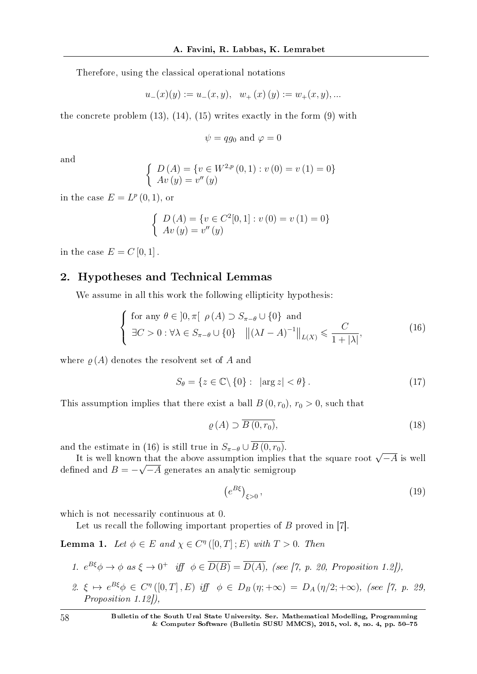Therefore, using the classical operational notations

$$
u_-(x)(y) := u_-(x, y), \quad w_+(x)(y) := w_+(x, y), \dots
$$

the concrete problem  $(13)$ ,  $(14)$ ,  $(15)$  writes exactly in the form  $(9)$  with

 $\psi = qq_0$  and  $\varphi = 0$ 

and

$$
\begin{cases}\nD(A) = \{v \in W^{2,p}(0,1) : v(0) = v(1) = 0\} \\
Av(y) = v''(y)\n\end{cases}
$$

in the case  $E = L^p(0,1)$ , or

$$
\begin{cases}\nD(A) = \{v \in C^2[0,1] : v(0) = v(1) = 0\} \\
Av(y) = v''(y)\n\end{cases}
$$

in the case  $E = C[0, 1]$ .

### 2. Hypotheses and Technical Lemmas

We assume in all this work the following ellipticity hypothesis:

$$
\begin{cases} \text{ for any } \theta \in ]0, \pi[ \rho(A) \supset S_{\pi-\theta} \cup \{0\} \text{ and} \\ \exists C > 0: \forall \lambda \in S_{\pi-\theta} \cup \{0\} \quad ||(\lambda I - A)^{-1}||_{L(X)} \leq \frac{C}{1+|\lambda|}, \end{cases}
$$
(16)

where  $\rho(A)$  denotes the resolvent set of A and

$$
S_{\theta} = \{ z \in \mathbb{C} \setminus \{0\} : \ |\arg z| < \theta \} \,. \tag{17}
$$

This assumption implies that there exist a ball  $B(0, r_0)$ ,  $r_0 > 0$ , such that

$$
\varrho(A) \supset \overline{B(0, r_0)},\tag{18}
$$

and the estimate in (16) is still true in  $S_{\pi-\theta} \cup \overline{B(0,r_0)}$ .

It is well known that the above assumption implies that the square root  $\sqrt{-A}$  is well defined and  $B = -\sqrt{-A}$  generates an analytic semigroup

$$
\left(e^{B\xi}\right)_{\xi>0},\tag{19}
$$

which is not necessarily continuous at 0.

Let us recall the following important properties of *B* proved in [7].

Lemma 1. Let  $\phi \in E$  and  $\chi \in C^{\eta}([0,T];E)$  with  $T > 0$ . Then

1. 
$$
e^{B\xi}\phi \to \phi
$$
 as  $\xi \to 0^+$  iff  $\phi \in \overline{D(B)} = \overline{D(A)}$ , (see [7, p. 20, Proposition 1.2]),

2.  $\xi \mapsto e^{B\xi} \phi \in C^{\eta}([0, T], E)$  iff  $\phi \in D_B(\eta; +\infty) = D_A(\eta/2; +\infty)$ , (see [7, p. 29, Proposition 1.12]),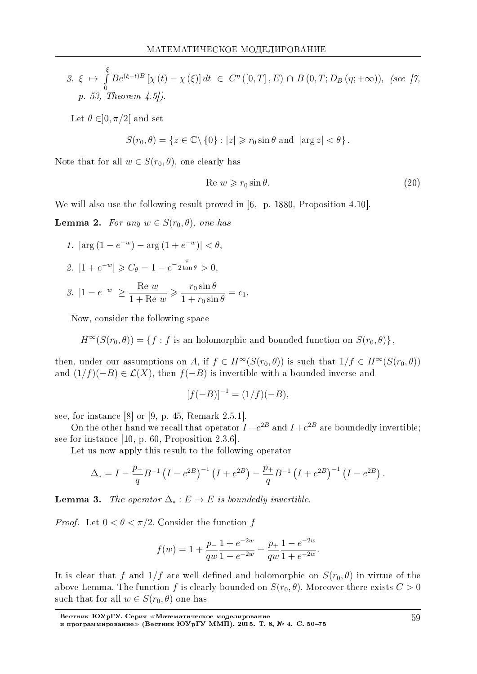3. 
$$
\xi \mapsto \int_{0}^{\xi} Be^{(\xi-t)B} [\chi(t) - \chi(\xi)] dt \in C^{\eta} ([0, T], E) \cap B (0, T; D_B (\eta; +\infty)),
$$
 (see [7, p. 53, Theorem 4.5]).

Let  $\theta \in ]0, \pi/2[$  and set

$$
S(r_0, \theta) = \{ z \in \mathbb{C} \setminus \{0\} : |z| \geq r_0 \sin \theta \text{ and } |\arg z| < \theta \}.
$$

Note that for all  $w \in S(r_0, \theta)$ , one clearly has

$$
Re w \ge r_0 \sin \theta. \tag{20}
$$

We will also use the following result proved in [6, p. 1880, Proposition 4.10].

**Lemma 2.** For any  $w \in S(r_0, \theta)$ , one has

1. 
$$
|\arg(1-e^{-w}) - \arg(1+e^{-w})| < \theta
$$
,

2. 
$$
|1 + e^{-w}| \ge C_{\theta} = 1 - e^{-\frac{\pi}{2\tan\theta}} > 0
$$

$$
3. \ \left| 1 - e^{-w} \right| \ge \frac{\text{Re } w}{1 + \text{Re } w} \ge \frac{r_0 \sin \theta}{1 + r_0 \sin \theta} = c_1.
$$

Now, consider the following space

$$
H^{\infty}(S(r_0,\theta)) = \{f : f \text{ is an holomorphic and bounded function on } S(r_0,\theta)\}
$$

then, under our assumptions on A, if  $f \in H^{\infty}(S(r_0, \theta))$  is such that  $1/f \in H^{\infty}(S(r_0, \theta))$ and  $(1/f)(-B) \in \mathcal{L}(X)$ , then  $f(-B)$  is invertible with a bounded inverse and

$$
[f(-B)]^{-1} = (1/f)(-B),
$$

see, for instance  $[8]$  or  $[9, p. 45,$  Remark 2.5.1.

On the other hand we recall that operator  $I - e^{2B}$  and  $I + e^{2B}$  are boundedly invertible; see for instance [10, p. 60, Proposition  $2.3.6$ ].

Let us now apply this result to the following operator

$$
\Delta_* = I - \frac{p_-}{q} B^{-1} (I - e^{2B})^{-1} (I + e^{2B}) - \frac{p_+}{q} B^{-1} (I + e^{2B})^{-1} (I - e^{2B}).
$$

**Lemma 3.** The operator  $\Delta_* : E \to E$  is boundedly invertible.

*Proof.* Let  $0 < \theta < \pi/2$ . Consider the function f

$$
f(w) = 1 + \frac{p_1}{qw} \frac{1 + e^{-2w}}{1 - e^{-2w}} + \frac{p_1}{qw} \frac{1 - e^{-2w}}{1 + e^{-2w}}.
$$

It is clear that f and  $1/f$  are well defined and holomorphic on  $S(r_0, \theta)$  in virtue of the above Lemma. The function f is clearly bounded on  $S(r_0, \theta)$ . Moreover there exists  $C > 0$ such that for all  $w \in S(r_0, \theta)$  one has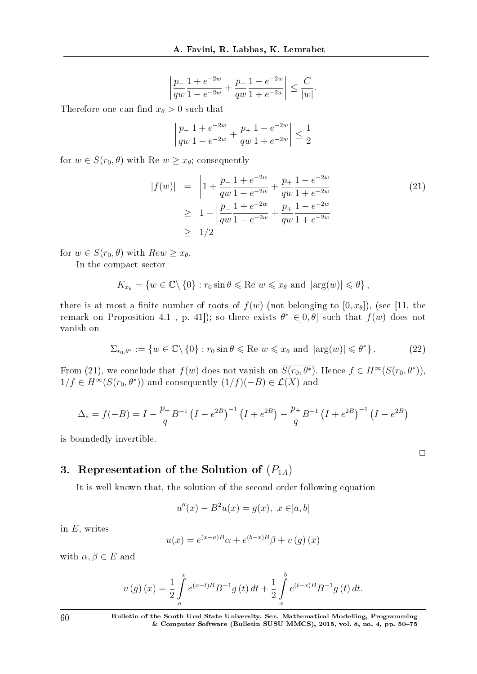$$
\left|\frac{p_-}{qw}\frac{1+e^{-2w}}{1-e^{-2w}}+\frac{p_+}{qw}\frac{1-e^{-2w}}{1+e^{-2w}}\right|\leq \frac{C}{|w|}.
$$

Therefore one can find  $x_{\theta} > 0$  such that

$$
\left|\frac{p_-}{qw}\frac{1+e^{-2w}}{1-e^{-2w}}+\frac{p_+}{qw}\frac{1-e^{-2w}}{1+e^{-2w}}\right|\leq \frac{1}{2}
$$

for  $w \in S(r_0, \theta)$  with Re  $w \geq x_\theta$ ; consequently

$$
|f(w)| = \left| 1 + \frac{p_1}{qw} \frac{1 + e^{-2w}}{1 - e^{-2w}} + \frac{p_1}{qw} \frac{1 - e^{-2w}}{1 + e^{-2w}} \right|
$$
  
\n
$$
\geq 1 - \left| \frac{p_1}{qw} \frac{1 + e^{-2w}}{1 - e^{-2w}} + \frac{p_1}{qw} \frac{1 - e^{-2w}}{1 + e^{-2w}} \right|
$$
  
\n
$$
\geq 1/2
$$
\n(21)

for  $w \in S(r_0, \theta)$  with  $Rew \geq x_{\theta}$ .

In the compact sector

$$
K_{x_{\theta}} = \{ w \in \mathbb{C} \setminus \{0\} : r_0 \sin \theta \leqslant \text{Re } w \leqslant x_{\theta} \text{ and } |\arg(w)| \leqslant \theta \},
$$

there is at most a finite number of roots of  $f(w)$  (not belonging to  $[0, x_{\theta}]$ ), (see [11, the remark on Proposition 4.1, p. 41]); so there exists  $\theta^* \in ]0, \theta]$  such that  $f(w)$  does not vanish on

$$
\Sigma_{r_0,\theta^*} := \{ w \in \mathbb{C} \setminus \{0\} : r_0 \sin \theta \leqslant \text{Re } w \leqslant x_\theta \text{ and } |\arg(w)| \leqslant \theta^* \}.
$$
 (22)

 $\Box$ 

From (21), we conclude that  $f(w)$  does not vanish on  $S(r_0, \theta^*)$ . Hence  $f \in H^\infty(S(r_0, \theta^*))$ ,  $1/f \in H^{\infty}(S(r_0, \theta^*))$  and consequently  $(1/f)(-B) \in \mathcal{L}(X)$  and

$$
\Delta_{*} = f(-B) = I - \frac{p}{q} B^{-1} (I - e^{2B})^{-1} (I + e^{2B}) - \frac{p}{q} B^{-1} (I + e^{2B})^{-1} (I - e^{2B})
$$

is boundedly invertible.

# 3. Representation of the Solution of  $(P_{1A})$

It is well known that, the solution of the second order following equation

$$
u''(x) - B^2u(x) = g(x), \ x \in ]a, b[
$$

in *E,* writes

$$
u(x) = e^{(x-a)B}\alpha + e^{(b-x)B}\beta + v(g)(x)
$$

with  $\alpha, \beta \in E$  and

$$
v(g)(x) = \frac{1}{2} \int_{a}^{x} e^{(x-t)B} B^{-1} g(t) dt + \frac{1}{2} \int_{x}^{b} e^{(t-x)B} B^{-1} g(t) dt.
$$

60 Bulletin of the South Ural State University. Ser. Mathematical Modelling, Programming & Computer Software (Bulletin SUSU MMCS), 2015, vol. 8, no. 4, pp. 5075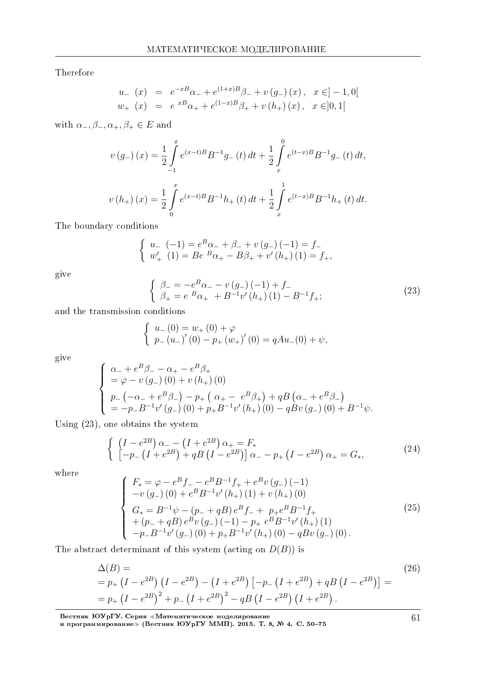Therefore

$$
u_{-}(x) = e^{-xB}\alpha_{-} + e^{(1+x)B}\beta_{-} + v(g_{-})(x), \quad x \in ]-1,0[
$$
  

$$
w_{+}(x) = e^{xB}\alpha_{+} + e^{(1-x)B}\beta_{+} + v(h_{+})(x), \quad x \in ]0,1[
$$

with  $\alpha_-, \beta_-, \alpha_+, \beta_+ \in E$  and

$$
v(g_{-})(x) = \frac{1}{2} \int_{-1}^{x} e^{(x-t)B} B^{-1}g_{-}(t) dt + \frac{1}{2} \int_{x}^{0} e^{(t-x)B} B^{-1}g_{-}(t) dt,
$$
  

$$
v(h_{+})(x) = \frac{1}{2} \int_{0}^{x} e^{(x-t)B} B^{-1}h_{+}(t) dt + \frac{1}{2} \int_{x}^{1} e^{(t-x)B} B^{-1}h_{+}(t) dt.
$$

The boundary conditions

$$
\begin{cases}\nu_-(-1) = e^B \alpha_- + \beta_- + v(g_-) (-1) = f_- \\
w'_+ (1) = Be^{B} \alpha_+ - B \beta_+ + v'(h_+) (1) = f_+,\n\end{cases}
$$

give

$$
\begin{cases}\n\beta_{-} = -e^{B}\alpha_{-} - v(g_{-})\left(-1\right) + f_{-} \\
\beta_{+} = e^{B}\alpha_{+} + B^{-1}v'\left(h_{+}\right)\left(1\right) - B^{-1}f_{+};\n\end{cases}
$$
\n(23)

and the transmission conditions

$$
\begin{cases}\n u_{-}(0) = w_{+}(0) + \varphi \\
 p_{-}(u_{-})'(0) - p_{+}(w_{+})'(0) = qAu_{-}(0) + \psi,\n\end{cases}
$$

give

$$
\begin{cases}\n\alpha_{-} + e^{B}\beta_{-} - \alpha_{+} - e^{B}\beta_{+} \\
= \varphi - v(g_{-})\left(0\right) + v(h_{+})\left(0\right) \\
p_{-}\left(-\alpha_{-} + e^{B}\beta_{-}\right) - p_{+}\left(\alpha_{+} - e^{B}\beta_{+}\right) + qB\left(\alpha_{-} + e^{B}\beta_{-}\right) \\
= -p_{-}B^{-1}v'(g_{-})\left(0\right) + p_{+}B^{-1}v'(h_{+})\left(0\right) - qBv(g_{-})\left(0\right) + B^{-1}\psi.\n\end{cases}
$$

Using (23), one obtains the system

$$
\begin{cases}\n(I - e^{2B}) \alpha_{-} - (I + e^{2B}) \alpha_{+} = F_* \\
[-p_{-} (I + e^{2B}) + qB (I - e^{2B})] \alpha_{-} - p_{+} (I - e^{2B}) \alpha_{+} = G_*,\n\end{cases}
$$
\n(24)

where

$$
\begin{cases}\nF_* = \varphi - e^B f_- - e^B B^{-1} f_+ + e^B v(g_-) (-1) \\
-v(g_-) (0) + e^B B^{-1} v'(h_+) (1) + v(h_+) (0) \\
G_* = B^{-1} \psi - (p_- + qB) e^B f_- + p_+ e^B B^{-1} f_+ \\
+(p_- + qB) e^B v(g_-) (-1) - p_+ e^B B^{-1} v'(h_+) (1) \\
-p_- B^{-1} v'(g_-) (0) + p_+ B^{-1} v'(h_+) (0) - q B v(g_-) (0).\n\end{cases}
$$
\n(25)

The abstract determinant of this system (acting on  $D(B)$ ) is

$$
\Delta(B) =
$$
\n
$$
= p_{+} (I - e^{2B}) (I - e^{2B}) - (I + e^{2B}) [-p_{-} (I + e^{2B}) + qB (I - e^{2B})] =
$$
\n
$$
= p_{+} (I - e^{2B})^{2} + p_{-} (I + e^{2B})^{2} - qB (I - e^{2B}) (I + e^{2B}).
$$
\n(26)

Вестник ЮУрГУ. Серия «Математическое моделирование и программирование≫ (Вестник ЮУрГУ ММП). 2015. Т. 8, № 4. C. 50–75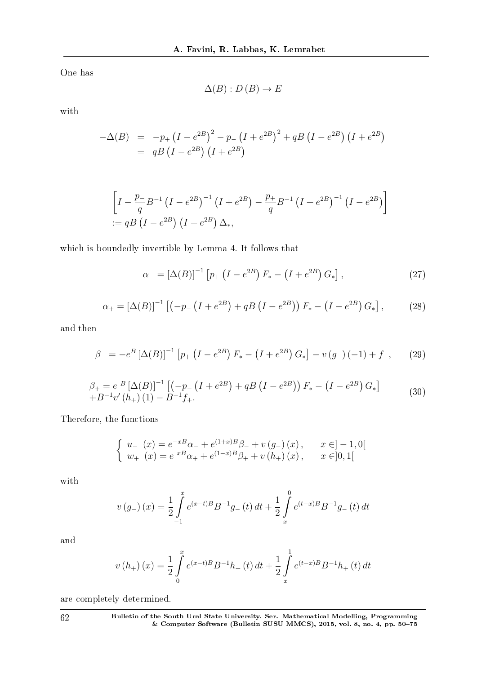One has

 $\Delta(B): D(B) \to E$ 

with

$$
-\Delta(B) = -p_{+} (I - e^{2B})^{2} - p_{-} (I + e^{2B})^{2} + qB (I - e^{2B}) (I + e^{2B})
$$
  
=  $qB (I - e^{2B}) (I + e^{2B})$ 

$$
\[I - \frac{p}{q}B^{-1}(I - e^{2B})^{-1}(I + e^{2B}) - \frac{p}{q}B^{-1}(I + e^{2B})^{-1}(I - e^{2B})\]
$$
  
 := qB(I - e^{2B})(I + e^{2B})\Delta\_\*,

which is boundedly invertible by Lemma 4. It follows that

$$
\alpha_{-} = [\Delta(B)]^{-1} \left[ p_{+} \left( I - e^{2B} \right) F_{*} - \left( I + e^{2B} \right) G_{*} \right], \tag{27}
$$

$$
\alpha_{+} = [\Delta(B)]^{-1} \left[ \left( -p_{-} \left( I + e^{2B} \right) + qB \left( I - e^{2B} \right) \right) F_{*} - \left( I - e^{2B} \right) G_{*} \right],\tag{28}
$$

and then

$$
\beta_{-} = -e^{B} \left[ \Delta(B) \right]^{-1} \left[ p_{+} \left( I - e^{2B} \right) F_{*} - \left( I + e^{2B} \right) G_{*} \right] - v \left( g_{-} \right) \left( -1 \right) + f_{-}, \tag{29}
$$

$$
\beta_{+} = e^{B} [\Delta(B)]^{-1} [(-p_{-}(I + e^{2B}) + qB (I - e^{2B})) F_{*} - (I - e^{2B}) G_{*}] + B^{-1} v'(h_{+}) (1) - B^{-1} f_{+}.
$$
\n(30)

Therefore, the functions

$$
\begin{cases}\n u_{-}(x) = e^{-xB}\alpha_{-} + e^{(1+x)B}\beta_{-} + v(g_{-})(x), & x \in ]-1,0[ \\
 w_{+}(x) = e^{xB}\alpha_{+} + e^{(1-x)B}\beta_{+} + v(h_{+})(x), & x \in ]0,1[ \n\end{cases}
$$

with

$$
v(g_{-})(x) = \frac{1}{2} \int_{-1}^{x} e^{(x-t)B} B^{-1} g_{-}(t) dt + \frac{1}{2} \int_{x}^{0} e^{(t-x)B} B^{-1} g_{-}(t) dt
$$

and

$$
v(h_{+}) (x) = \frac{1}{2} \int_{0}^{x} e^{(x-t)B} B^{-1} h_{+}(t) dt + \frac{1}{2} \int_{x}^{1} e^{(t-x)B} B^{-1} h_{+}(t) dt
$$

are completely determined.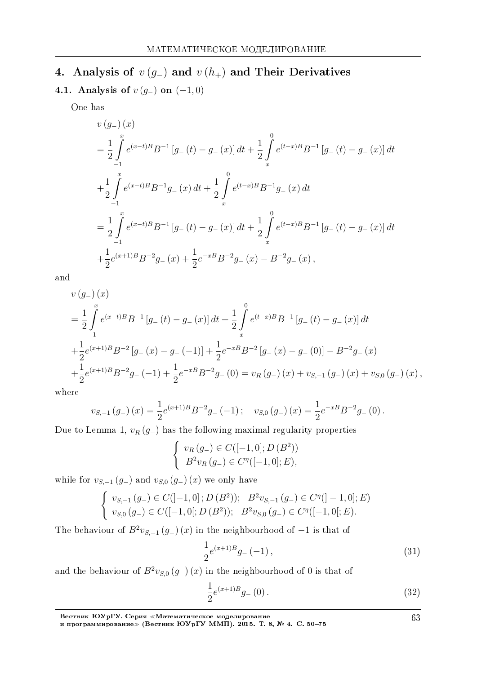# 4. Analysis of *v* (*g−*) and *v* (*h*+) and Their Derivatives

4.1. Analysis of *v* (*g−*) on (*−*1*,* 0)

One has

$$
v(g_{-})(x)
$$
\n
$$
= \frac{1}{2} \int_{-1}^{x} e^{(x-t)B} B^{-1} [g_{-}(t) - g_{-}(x)] dt + \frac{1}{2} \int_{x}^{0} e^{(t-x)B} B^{-1} [g_{-}(t) - g_{-}(x)] dt
$$
\n
$$
+ \frac{1}{2} \int_{-1}^{x} e^{(x-t)B} B^{-1} g_{-}(x) dt + \frac{1}{2} \int_{x}^{0} e^{(t-x)B} B^{-1} g_{-}(x) dt
$$
\n
$$
= \frac{1}{2} \int_{-1}^{x} e^{(x-t)B} B^{-1} [g_{-}(t) - g_{-}(x)] dt + \frac{1}{2} \int_{x}^{0} e^{(t-x)B} B^{-1} [g_{-}(t) - g_{-}(x)] dt
$$
\n
$$
+ \frac{1}{2} e^{(x+1)B} B^{-2} g_{-}(x) + \frac{1}{2} e^{-xB} B^{-2} g_{-}(x) - B^{-2} g_{-}(x),
$$

and

$$
v(g_{-})(x)
$$
\n
$$
= \frac{1}{2} \int_{-1}^{x} e^{(x-t)B} B^{-1} [g_{-}(t) - g_{-}(x)] dt + \frac{1}{2} \int_{x}^{0} e^{(t-x)B} B^{-1} [g_{-}(t) - g_{-}(x)] dt
$$
\n
$$
+ \frac{1}{2} e^{(x+1)B} B^{-2} [g_{-}(x) - g_{-}(-1)] + \frac{1}{2} e^{-xB} B^{-2} [g_{-}(x) - g_{-}(0)] - B^{-2} g_{-}(x)
$$
\n
$$
+ \frac{1}{2} e^{(x+1)B} B^{-2} g_{-}(-1) + \frac{1}{2} e^{-xB} B^{-2} g_{-}(0) = v_{R}(g_{-})(x) + v_{S,-1}(g_{-})(x) + v_{S,0}(g_{-})(x),
$$
\n
$$
= 0.
$$

where

$$
v_{S,-1}(g_{-})(x) = \frac{1}{2}e^{(x+1)B}B^{-2}g_{-}(-1); \quad v_{S,0}(g_{-})(x) = \frac{1}{2}e^{-xB}B^{-2}g_{-}(0).
$$

Due to Lemma 1,  $v_R(g_+)$  has the following maximal regularity properties

$$
\begin{cases} v_R(g_-) \in C([-1,0]; D (B^2)) \\ B^2 v_R(g_-) \in C^{\eta}([-1,0]; E), \end{cases}
$$

while for  $v_{S,-1}(g_{-})$  and  $v_{S,0}(g_{-})(x)$  we only have

$$
\begin{cases}\nv_{S,-1}(g_-) \in C([-1,0]; D(B^2)); & B^2 v_{S,-1}(g_-) \in C^{\eta}([-1,0]; E) \\
v_{S,0}(g_-) \in C([-1,0[; D(B^2)); & B^2 v_{S,0}(g_-) \in C^{\eta}([-1,0[; E)].\n\end{cases}
$$

The behaviour of  $B^2v_{S,-1}(g_-)(x)$  in the neighbourhood of  $-1$  is that of

$$
\frac{1}{2}e^{(x+1)B}g_{-}(-1)\,,\tag{31}
$$

and the behaviour of  $B^2 v_{S,0} (g_{-}) (x)$  in the neighbourhood of 0 is that of

$$
\frac{1}{2}e^{(x+1)B}g_{-}(0). \tag{32}
$$

Вестник ЮУрГУ. Серия «Математическое моделирование и программирование≫ (Вестник ЮУрГУ ММП). 2015. Т. 8, № 4. C. 50–75 63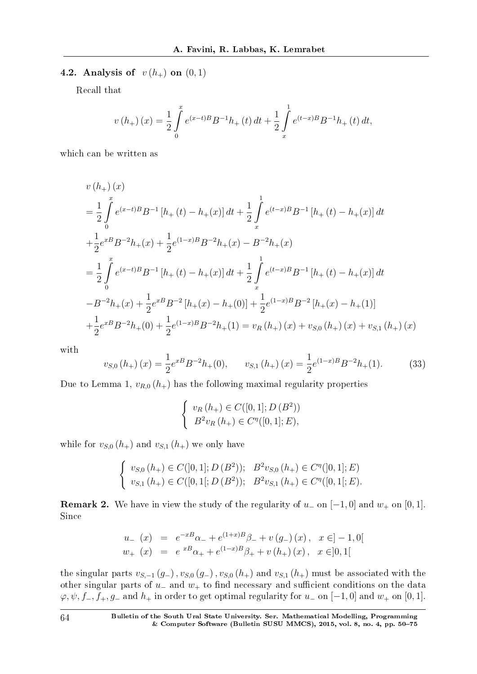### 4.2. Analysis of  $v(h_{+})$  on  $(0, 1)$

Recall that

$$
v(h_{+}) (x) = \frac{1}{2} \int_{0}^{x} e^{(x-t)B} B^{-1}h_{+}(t) dt + \frac{1}{2} \int_{x}^{1} e^{(t-x)B} B^{-1}h_{+}(t) dt,
$$

which can be written as

$$
v(h_{+})(x)
$$
\n
$$
= \frac{1}{2} \int_{0}^{x} e^{(x-t)B} B^{-1} [h_{+}(t) - h_{+}(x)] dt + \frac{1}{2} \int_{x}^{1} e^{(t-x)B} B^{-1} [h_{+}(t) - h_{+}(x)] dt
$$
\n
$$
+ \frac{1}{2} e^{xB} B^{-2} h_{+}(x) + \frac{1}{2} e^{(1-x)B} B^{-2} h_{+}(x) - B^{-2} h_{+}(x)
$$
\n
$$
= \frac{1}{2} \int_{0}^{x} e^{(x-t)B} B^{-1} [h_{+}(t) - h_{+}(x)] dt + \frac{1}{2} \int_{x}^{1} e^{(t-x)B} B^{-1} [h_{+}(t) - h_{+}(x)] dt
$$
\n
$$
-B^{-2} h_{+}(x) + \frac{1}{2} e^{xB} B^{-2} [h_{+}(x) - h_{+}(0)] + \frac{1}{2} e^{(1-x)B} B^{-2} [h_{+}(x) - h_{+}(1)]
$$
\n
$$
+ \frac{1}{2} e^{xB} B^{-2} h_{+}(0) + \frac{1}{2} e^{(1-x)B} B^{-2} h_{+}(1) = v_{R}(h_{+})(x) + v_{S,0}(h_{+})(x) + v_{S,1}(h_{+})(x)
$$

with

$$
v_{S,0}(h_{+}) (x) = \frac{1}{2} e^{xB} B^{-2} h_{+}(0), \qquad v_{S,1}(h_{+}) (x) = \frac{1}{2} e^{(1-x)B} B^{-2} h_{+}(1). \tag{33}
$$

Due to Lemma 1,  $v_{R,0}$  ( $h_{+}$ ) has the following maximal regularity properties

$$
\begin{cases} v_R(h_+) \in C([0,1]; D (B^2)) \\ B^2 v_R(h_+) \in C^{\eta}([0,1]; E), \end{cases}
$$

while for  $v_{S,0}$   $(h_+)$  and  $v_{S,1}$   $(h_+)$  we only have

$$
\begin{cases}\nv_{S,0}(h_+) \in C([0,1]; D (B^2)); & B^2 v_{S,0}(h_+) \in C^{\eta}([0,1]; E) \\
v_{S,1}(h_+) \in C([0,1]; D (B^2)); & B^2 v_{S,1}(h_+) \in C^{\eta}([0,1]; E).\n\end{cases}
$$

**Remark 2.** We have in view the study of the regularity of  $u_-\text{ on } [-1,0]$  and  $w_+\text{ on } [0,1]$ . Since

$$
u_{-}(x) = e^{-xB}\alpha_{-} + e^{(1+x)B}\beta_{-} + v(g_{-})(x), \quad x \in ]-1,0[
$$
  

$$
w_{+}(x) = e^{xB}\alpha_{+} + e^{(1-x)B}\beta_{+} + v(h_{+})(x), \quad x \in ]0,1[
$$

the singular parts  $v_{S,-1}(g_{-}), v_{S,0}(g_{-}), v_{S,0}(h_{+})$  and  $v_{S,1}(h_{+})$  must be associated with the other singular parts of *u*<sub>−</sub> and *w*<sub>+</sub> to find necessary and sufficient conditions on the data  $\varphi, \psi, f_-, f_+, g_-\text{ and } h_+ \text{ in order to get optimal regularity for } u_-\text{ on } [-1, 0] \text{ and } w_+\text{ on } [0, 1].$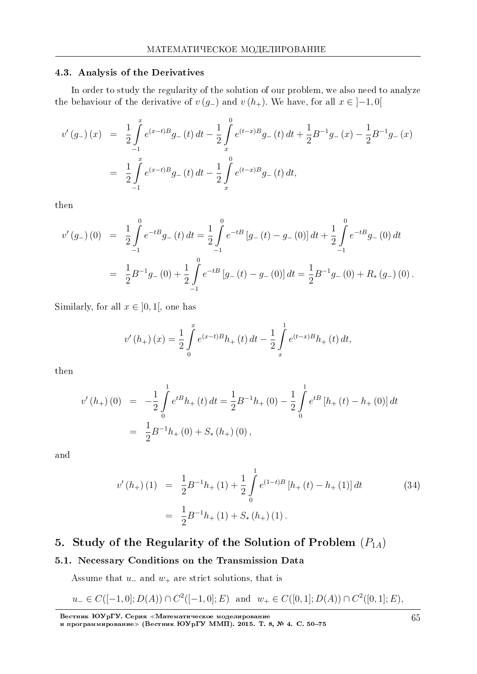#### 4.3. Analysis of the Derivatives

In order to study the regularity of the solution of our problem, we also need to analyze the behaviour of the derivative of  $v(g_{-})$  and  $v(h_{+})$ . We have, for all  $x \in [-1,0]$ 

$$
v'(g_{-})(x) = \frac{1}{2} \int_{-1}^{x} e^{(x-t)B} g_{-}(t) dt - \frac{1}{2} \int_{x}^{0} e^{(t-x)B} g_{-}(t) dt + \frac{1}{2} B^{-1} g_{-}(x) - \frac{1}{2} B^{-1} g_{-}(x)
$$
  

$$
= \frac{1}{2} \int_{-1}^{x} e^{(x-t)B} g_{-}(t) dt - \frac{1}{2} \int_{x}^{0} e^{(t-x)B} g_{-}(t) dt,
$$

then

$$
v'(g_{-})(0) = \frac{1}{2} \int_{-1}^{0} e^{-tB} g_{-}(t) dt = \frac{1}{2} \int_{-1}^{0} e^{-tB} [g_{-}(t) - g_{-}(0)] dt + \frac{1}{2} \int_{-1}^{0} e^{-tB} g_{-}(0) dt
$$
  

$$
= \frac{1}{2} B^{-1} g_{-}(0) + \frac{1}{2} \int_{-1}^{0} e^{-tB} [g_{-}(t) - g_{-}(0)] dt = \frac{1}{2} B^{-1} g_{-}(0) + R_{*}(g_{-})(0).
$$

Similarly, for all  $x \in ]0,1[$ , one has

$$
v'(h_{+}) (x) = \frac{1}{2} \int_{0}^{x} e^{(x-t)B} h_{+}(t) dt - \frac{1}{2} \int_{x}^{1} e^{(t-x)B} h_{+}(t) dt,
$$

then

$$
v'(h_{+}) (0) = -\frac{1}{2} \int_{0}^{1} e^{tB} h_{+}(t) dt = \frac{1}{2} B^{-1} h_{+}(0) - \frac{1}{2} \int_{0}^{1} e^{tB} [h_{+}(t) - h_{+}(0)] dt
$$
  

$$
= \frac{1}{2} B^{-1} h_{+}(0) + S_{*}(h_{+}) (0),
$$

and

$$
v'(h_{+}) (1) = \frac{1}{2} B^{-1} h_{+} (1) + \frac{1}{2} \int_{0}^{1} e^{(1-t)B} \left[ h_{+} (t) - h_{+} (1) \right] dt
$$
  

$$
= \frac{1}{2} B^{-1} h_{+} (1) + S_{*} (h_{+}) (1).
$$
 (34)

# 5. Study of the Regularity of the Solution of Problem (*P*1*A*)

#### 5.1. Necessary Conditions on the Transmission Data

Assume that *u<sup>−</sup>* and *w*<sup>+</sup> are strict solutions, that is

$$
u_{-} \in C([-1,0]; D(A)) \cap C^{2}([-1,0]; E)
$$
 and  $w_{+} \in C([0,1]; D(A)) \cap C^{2}([0,1]; E)$ ,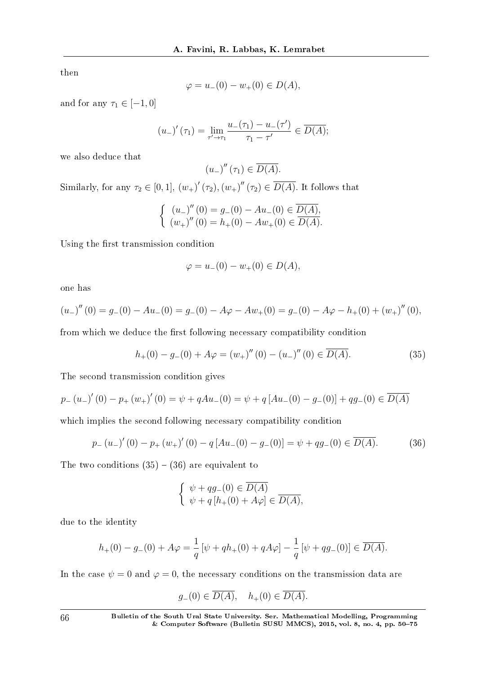then

$$
\varphi = u_{-}(0) - w_{+}(0) \in D(A),
$$

and for any  $\tau_1 \in [-1, 0]$ 

$$
(u_{-})'(\tau_{1}) = \lim_{\tau' \to \tau_{1}} \frac{u_{-}(\tau_{1}) - u_{-}(\tau')}{\tau_{1} - \tau'} \in \overline{D(A)};
$$

we also deduce that

$$
\left(u_{-}\right)''\left(\tau_{1}\right) \in \overline{D(A)}.
$$

Similarly, for any  $\tau_2 \in [0,1]$ ,  $(w_+)'(\tau_2)$ ,  $(w_+)''(\tau_2) \in D(A)$ . It follows that

$$
\begin{cases} (u_-)''(0) = g_-(0) - Au_-(0) \in \overline{D(A)}, \\ (w_+)''(0) = h_+(0) - Aw_+(0) \in \overline{D(A)}. \end{cases}
$$

Using the first transmission condition

$$
\varphi = u_{-}(0) - w_{+}(0) \in D(A),
$$

one has

$$
(u_-)''(0) = g_-(0) - Au_-(0) = g_-(0) - A\varphi - Aw_+(0) = g_-(0) - A\varphi - h_+(0) + (w_+)''(0),
$$

from which we deduce the first following necessary compatibility condition

$$
h_{+}(0) - g_{-}(0) + A\varphi = (w_{+})''(0) - (u_{-})''(0) \in \overline{D(A)}.
$$
\n(35)

The second transmission condition gives

$$
p_{-}(u_{-})'(0) - p_{+}(w_{+})'(0) = \psi + qAu_{-}(0) = \psi + q[Au_{-}(0) - g_{-}(0)] + qg_{-}(0) \in \overline{D(A)}
$$

which implies the second following necessary compatibility condition

$$
p_{-}(u_{-})'(0) - p_{+}(w_{+})'(0) - q[Au_{-}(0) - g_{-}(0)] = \psi + qg_{-}(0) \in \overline{D(A)}.
$$
 (36)

The two conditions  $(35) - (36)$  are equivalent to

$$
\begin{cases} \psi + qg_{-}(0) \in \overline{D(A)} \\ \psi + q[h_{+}(0) + A\varphi] \in \overline{D(A)}, \end{cases}
$$

due to the identity

$$
h_{+}(0) - g_{-}(0) + A\varphi = \frac{1}{q} \left[ \psi + qh_{+}(0) + qA\varphi \right] - \frac{1}{q} \left[ \psi + qg_{-}(0) \right] \in \overline{D(A)}.
$$

In the case  $\psi = 0$  and  $\varphi = 0$ , the necessary conditions on the transmission data are

$$
g_{-}(0) \in D(A), \quad h_{+}(0) \in D(A).
$$

66 Bulletin of the South Ural State University. Ser. Mathematical Modelling, Programming & Computer Software (Bulletin SUSU MMCS), 2015, vol. 8, no. 4, pp. 5075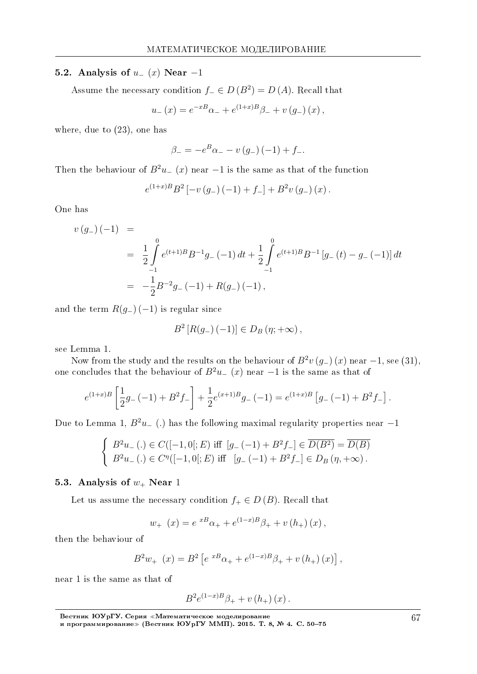#### 5.2. Analysis of *u<sup>−</sup>* (*x*) Near *−*1

Assume the necessary condition  $f$ <sup>*-*</sup>  $\in$  *D* (*B*<sup>2</sup>) = *D* (*A*). Recall that

 $u$ <sub>*−</sub>* (*x*) =  $e^{-xB}\alpha$ <sup>*−*</sup> +  $e^{(1+x)B}\beta$ <sub>*−*</sub> +  $v(g$ <sub>−</sub>) (*x*)*,*</sub>

where, due to (23), one has

$$
\beta_{-} = -e^{B} \alpha_{-} - v(g_{-}) (-1) + f_{-}.
$$

Then the behaviour of  $B^2u$ <sub>*−*</sub> (*x*) near *−*1 is the same as that of the function

$$
e^{(1+x)B}B^{2}\left[-v(g_{-})\left(-1\right)+f_{-}\right]+B^{2}v(g_{-})\left(x\right).
$$

One has

$$
v(g_{-})(-1) =
$$
  
=  $\frac{1}{2} \int_{-1}^{0} e^{(t+1)B} B^{-1} g_{-}(-1) dt + \frac{1}{2} \int_{-1}^{0} e^{(t+1)B} B^{-1} [g_{-}(t) - g_{-}(-1)] dt$   
=  $-\frac{1}{2} B^{-2} g_{-}(-1) + R(g_{-})(-1),$ 

and the term *R*(*g−*) (*−*1) is regular since

$$
B^{2}[R(g_{-})(-1)] \in D_{B}(\eta; +\infty),
$$

see Lemma 1.

Now from the study and the results on the behaviour of  $B^2v(g_-)(x)$  near  $-1$ , see (31), one concludes that the behaviour of  $B^2u$ <sub>−</sub> (*x*) near −1 is the same as that of

$$
e^{(1+x)B}\left[\frac{1}{2}g_{-}(-1)+B^2f_{-}\right]+\frac{1}{2}e^{(x+1)B}g_{-}(-1)=e^{(1+x)B}\left[g_{-}(-1)+B^2f_{-}\right].
$$

Due to Lemma 1, *B*<sup>2</sup>*u<sup>−</sup>* (*.*) has the following maximal regularity properties near *−*1

$$
\begin{cases}\nB^2 u_-\left(.\right) \in C([-1,0[;E]) \text{ iff } [g_-\left(-1\right) + B^2 f_-\] \in \overline{D(B^2)} = \overline{D(B)} \\
B^2 u_-\left(.\right) \in C^{\eta}([-1,0[;E]) \text{ iff } [g_-\left(-1\right) + B^2 f_-\] \in D_B(\eta,+\infty).\n\end{cases}
$$

#### 5.3. Analysis of  $w_+$  Near 1

Let us assume the necessary condition  $f_+ \in D(B)$ . Recall that

$$
w_{+}(x) = e^{xB}\alpha_{+} + e^{(1-x)B}\beta_{+} + v(h_{+})(x),
$$

then the behaviour of

$$
B^{2}w_{+}(x) = B^{2} \left[ e^{xB}\alpha_{+} + e^{(1-x)B}\beta_{+} + v(h_{+})(x) \right],
$$

near 1 is the same as that of

$$
B^{2}e^{(1-x)B}\beta_{+} + v(h_{+}) (x).
$$

Вестник ЮУрГУ. Серия «Математическое моделирование и программирование≫ (Вестник ЮУрГУ ММП). 2015. Т. 8, № 4. C. 50–75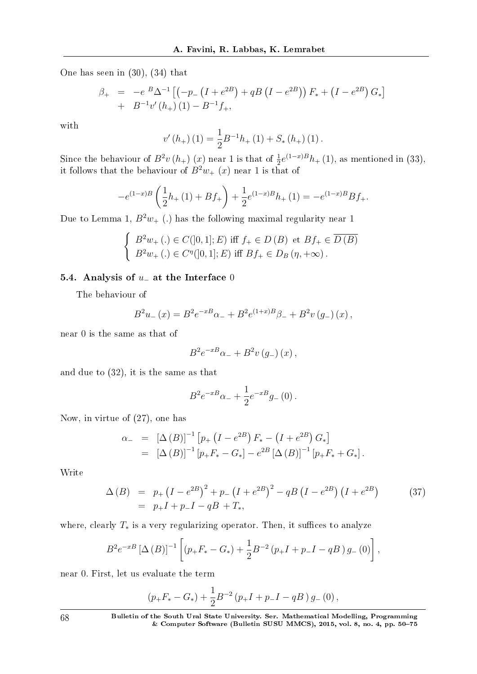One has seen in (30), (34) that

$$
\beta_{+} = -e^{B} \Delta^{-1} \left[ \left( -p_{-} \left( I + e^{2B} \right) + qB \left( I - e^{2B} \right) \right) F_{*} + \left( I - e^{2B} \right) G_{*} \right] \n+ B^{-1} v'(h_{+}) (1) - B^{-1} f_{+},
$$

with

$$
v'(h_+)(1) = \frac{1}{2}B^{-1}h_+(1) + S_*(h_+)(1).
$$

Since the behaviour of  $B^2v(h_+)$  (*x*) near 1 is that of  $\frac{1}{2}e^{(1-x)B}h_+(1)$ , as mentioned in (33), it follows that the behaviour of  $B^2w_{+}(x)$  near 1 is that of

$$
-e^{(1-x)B}\left(\frac{1}{2}h_+(1)+Bf_+\right)+\frac{1}{2}e^{(1-x)B}h_+(1)=-e^{(1-x)B}Bf_+.
$$

Due to Lemma 1,  $B^2w_+$  (.) has the following maximal regularity near 1

$$
\begin{cases}\nB^2w_+(\.)\in C([0,1];E)\text{ iff } f_+\in D(B) \text{ et } Bf_+\in \overline{D(B)} \\
B^2w_+(\.)\in C^{\eta}([0,1];E) \text{ iff } Bf_+\in D_B(\eta,+\infty)\text{ .} \n\end{cases}
$$

#### 5.4. Analysis of *u<sup>−</sup>* at the Interface 0

The behaviour of

$$
B^{2}u_{-}(x) = B^{2}e^{-xB}\alpha_{-} + B^{2}e^{(1+x)B}\beta_{-} + B^{2}v(g_{-})(x),
$$

near 0 is the same as that of

$$
B^2 e^{-xB}\alpha_- + B^2 v(g_-)(x)\,,
$$

and due to (32), it is the same as that

$$
B^2 e^{-xB} \alpha_- + \frac{1}{2} e^{-xB} g_-(0) \, .
$$

Now, in virtue of (27), one has

$$
\alpha_{-} = [\Delta (B)]^{-1} [p_{+} (I - e^{2B}) F_{*} - (I + e^{2B}) G_{*}]
$$
  
=  $[\Delta (B)]^{-1} [p_{+} F_{*} - G_{*}] - e^{2B} [\Delta (B)]^{-1} [p_{+} F_{*} + G_{*}].$ 

Write

$$
\Delta(B) = p_{+} (I - e^{2B})^{2} + p_{-} (I + e^{2B})^{2} - qB (I - e^{2B}) (I + e^{2B})
$$
\n
$$
= p_{+} I + p_{-} I - qB + T_{*}, \qquad (37)
$$

where, clearly  $T_*$  is a very regularizing operator. Then, it suffices to analyze

$$
B^{2}e^{-xB}\left[\Delta\left(B\right)\right]^{-1}\left[\left(p_{+}F_{*}-G_{*}\right)+\frac{1}{2}B^{-2}\left(p_{+}I+p_{-}I-qB\right)g_{-}\left(0\right)\right],
$$

near 0*.* First, let us evaluate the term

$$
(p_+F_*-G_*)+\frac{1}{2}B^{-2}(p_+I+p_-I-qB)g_-(0),
$$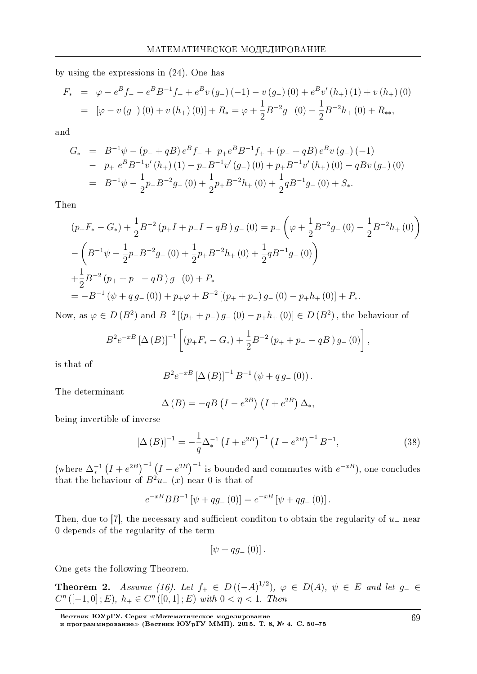by using the expressions in (24). One has

$$
F_* = \varphi - e^B f_- - e^B B^{-1} f_+ + e^B v(g_-) (-1) - v(g_-) (0) + e^B v'(h_+) (1) + v(h_+) (0)
$$
  
= 
$$
[\varphi - v(g_-) (0) + v(h_+) (0)] + R_* = \varphi + \frac{1}{2} B^{-2} g_- (0) - \frac{1}{2} B^{-2} h_+ (0) + R_*,
$$

and

$$
G_{*} = B^{-1}\psi - (p_{-} + qB)e^{B}f_{-} + p_{+}e^{B}B^{-1}f_{+} + (p_{-} + qB)e^{B}v(g_{-})(-1)
$$
  
\n
$$
- p_{+}e^{B}B^{-1}v'(h_{+}) (1) - p_{-}B^{-1}v'(g_{-}) (0) + p_{+}B^{-1}v'(h_{+}) (0) - qBv(g_{-}) (0)
$$
  
\n
$$
= B^{-1}\psi - \frac{1}{2}p_{-}B^{-2}g_{-} (0) + \frac{1}{2}p_{+}B^{-2}h_{+} (0) + \frac{1}{2}qB^{-1}g_{-} (0) + S_{*}.
$$

Then

$$
(p_{+}F_{*} - G_{*}) + \frac{1}{2}B^{-2}(p_{+}I + p_{-}I - qB) g_{-}(0) = p_{+}\left(\varphi + \frac{1}{2}B^{-2}g_{-}(0) - \frac{1}{2}B^{-2}h_{+}(0)\right)
$$

$$
-\left(B^{-1}\psi - \frac{1}{2}p_{-}B^{-2}g_{-}(0) + \frac{1}{2}p_{+}B^{-2}h_{+}(0) + \frac{1}{2}qB^{-1}g_{-}(0)\right)
$$

$$
+\frac{1}{2}B^{-2}(p_{+} + p_{-} - qB)g_{-}(0) + P_{*}
$$

$$
= -B^{-1}(\psi + qg_{-}(0)) + p_{+}\varphi + B^{-2}[(p_{+} + p_{-})g_{-}(0) - p_{+}h_{+}(0)] + P_{*}.
$$

Now, as  $\varphi \in D(B^2)$  and  $B^{-2}[(p_+ + p_-)g_-(0) - p_+h_+(0)] \in D(B^2)$ , the behaviour of

$$
B^{2}e^{-xB}\left[\Delta\left(B\right)\right]^{-1}\left[\left(p_{+}F_{*}-G_{*}\right)+\frac{1}{2}B^{-2}\left(p_{+}+p_{-}-qB\right)g_{-}\left(0\right)\right],
$$

is that of

$$
B^{2}e^{-xB}\left[\Delta(B)\right]^{-1}B^{-1}\left(\psi+q\,g_{-}\left(0\right)\right).
$$

The determinant

$$
\Delta(B) = -qB\left(I - e^{2B}\right)\left(I + e^{2B}\right)\Delta_*,
$$

being invertible of inverse

$$
\left[\Delta\left(B\right)\right]^{-1} = -\frac{1}{q} \Delta_*^{-1} \left(I + e^{2B}\right)^{-1} \left(I - e^{2B}\right)^{-1} B^{-1},\tag{38}
$$

 $(\text{where } \Delta_*^{-1} (I + e^{2B})^{-1} (I - e^{2B})^{-1}$  is bounded and commutes with  $e^{-xB}$ ), one concludes that the behaviour of  $B^2u$ <sub>−</sub> (*x*) near 0 is that of

$$
e^{-xB}BB^{-1} [\psi + qg_{-}(0)] = e^{-xB} [\psi + qg_{-}(0)].
$$

Then, due to [7], the necessary and sufficient conditon to obtain the regularity of *u*<sub>−</sub> near 0 depends of the regularity of the term

$$
\left[\psi+qg_{-}\left(0\right)\right].
$$

One gets the following Theorem.

Theorem 2. Assume (16). Let  $f_+$  ∈  $D((-A)^{1/2})$ ,  $\varphi$  ∈  $D(A)$ ,  $\psi$  ∈  $E$  and let  $g_-\in$  $C^{\eta}([-1,0];E), h_{+} \in C^{\eta}([0,1];E)$  with  $0 < \eta < 1$ . Then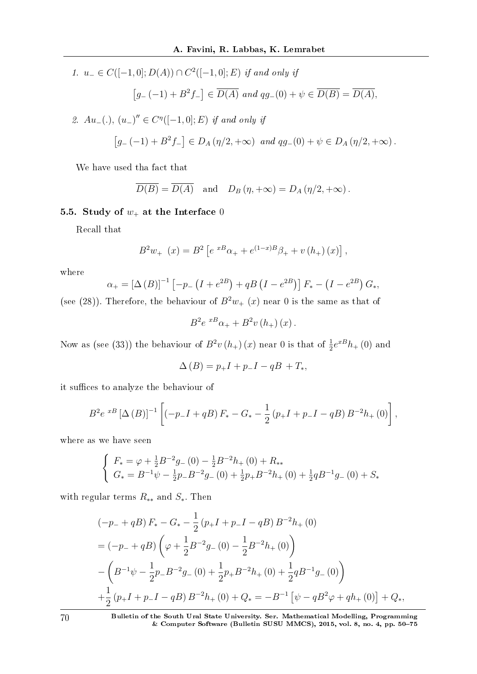1. 
$$
u_{-} \in C([-1,0]; D(A)) \cap C^{2}([-1,0]; E)
$$
 if and only if  
\n
$$
[g_{-}(-1) + B^{2} f_{-}] \in \overline{D(A)}
$$
 and  $qg_{-}(0) + \psi \in \overline{D(B)} = \overline{D(A)}$ ,

2. *Au−*(*.*)*,* (*u−*) *′′ ∈ C η* ([*−*1*,* 0]; *E*) if and only if

$$
[g_{-}(-1) + B^2 f_{-}] \in D_A(\eta/2, +\infty) \text{ and } qg_{-}(0) + \psi \in D_A(\eta/2, +\infty).
$$

We have used tha fact that

$$
\overline{D(B)} = \overline{D(A)} \text{ and } D_B(\eta, +\infty) = D_A(\eta/2, +\infty).
$$

# 5.5. Study of  $w_+$  at the Interface 0

Recall that

$$
B^{2}w_{+}(x) = B^{2} \left[ e^{xB}\alpha_{+} + e^{(1-x)B}\beta_{+} + v(h_{+})(x) \right],
$$

where

$$
\alpha_{+} = [\Delta (B)]^{-1} [-p_{-} (I + e^{2B}) + qB (I - e^{2B})] F_{*} - (I - e^{2B}) G_{*},
$$

(see (28)). Therefore, the behaviour of  $B^2w_{+}(x)$  near 0 is the same as that of

$$
B^2 e^{xB} \alpha_+ + B^2 v(h_+)(x).
$$

Now as (see (33)) the behaviour of  $B^2v(h_+)$  (*x*) near 0 is that of  $\frac{1}{2}e^{xB}h_+$  (0) and

$$
\Delta(B) = p_+ I + p_- I - qB + T_*,
$$

it suffices to analyze the behaviour of

$$
B^{2}e^{-xB}\left[\Delta(B)\right]^{-1}\left[\left(-p_{-}I+qB\right)F_{*}-G_{*}-\frac{1}{2}\left(p_{+}I+p_{-}I-qB\right)B^{-2}h_{+}\left(0\right)\right],
$$

where as we have seen

$$
\begin{cases}\nF_* = \varphi + \frac{1}{2}B^{-2}g_-(0) - \frac{1}{2}B^{-2}h_+(0) + R_{**} \\
G_* = B^{-1}\psi - \frac{1}{2}p_-B^{-2}g_-(0) + \frac{1}{2}p_+B^{-2}h_+(0) + \frac{1}{2}qB^{-1}g_-(0) + S_*\n\end{cases}
$$

with regular terms *R∗∗* and *S∗*. Then

$$
(-p_{-} + qB) F_{*} - G_{*} - \frac{1}{2} (p_{+}I + p_{-}I - qB) B^{-2} h_{+} (0)
$$
  
=  $(-p_{-} + qB) \left( \varphi + \frac{1}{2} B^{-2} g_{-} (0) - \frac{1}{2} B^{-2} h_{+} (0) \right)$   
 $- \left( B^{-1} \psi - \frac{1}{2} p_{-} B^{-2} g_{-} (0) + \frac{1}{2} p_{+} B^{-2} h_{+} (0) + \frac{1}{2} q B^{-1} g_{-} (0) \right)$   
 $+ \frac{1}{2} (p_{+}I + p_{-}I - qB) B^{-2} h_{+} (0) + Q_{*} = -B^{-1} [\psi - qB^{2} \varphi + q h_{+} (0)] + Q_{*},$ 

70 Bulletin of the South Ural State University. Ser. Mathematical Modelling, Programming & Computer Software (Bulletin SUSU MMCS), 2015, vol. 8, no. 4, pp. 5075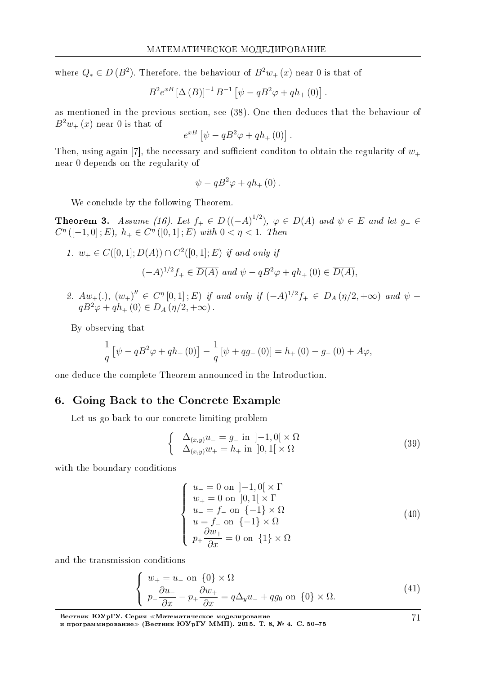where  $Q_* \in D(B^2)$ . Therefore, the behaviour of  $B^2w_+(x)$  near 0 is that of

$$
B^{2}e^{xB} [\Delta (B)]^{-1} B^{-1} [\psi - qB^{2}\varphi + qh_{+}(0)].
$$

as mentioned in the previous section, see (38). One then deduces that the behaviour of  $B^2w_+(x)$  near 0 is that of

$$
e^{xB}\left[\psi-qB^2\varphi+qh_+\left(0\right)\right].
$$

Then, using again [7], the necessary and sufficient condition to obtain the regularity of  $w_+$ near 0 depends on the regularity of

$$
\psi - qB^2\varphi + qh_+(0) .
$$

We conclude by the following Theorem.

**Theorem 3.** Assume (16). Let  $f_+ ∈ D((-A)^{1/2})$ ,  $\varphi ∈ D(A)$  and  $\psi ∈ E$  and let  $g_− ∈$  $C^{\eta}([-1,0];E), h_{+} \in C^{\eta}([0,1];E)$  with  $0 < \eta < 1$ . Then

1. 
$$
w_+ \in C([0, 1]; D(A)) \cap C^2([0, 1]; E)
$$
 if and only if  
\n $(-A)^{1/2} f_+ \in \overline{D(A)}$  and  $\psi - qB^2 \varphi + qh_+(0) \in \overline{D(A)}$ ,

2.  $Aw_{+}(.)$ ,  $(w_{+})'' \in C^{\eta}[0,1];E)$  if and only if  $(-A)^{1/2}f_{+} \in D_{A}(\eta/2,+\infty)$  and  $\psi$  $qB^{2}\varphi + qh_{+}(0) \in D_{A}(\eta/2, +\infty)$ .

By observing that

$$
\frac{1}{q} \left[ \psi - qB^2 \varphi + qh_+(0) \right] - \frac{1}{q} \left[ \psi + qg_-(0) \right] = h_+(0) - g_-(0) + A\varphi,
$$

one deduce the complete Theorem announced in the Introduction.

## 6. Going Back to the Concrete Example

Let us go back to our concrete limiting problem

$$
\begin{cases}\n\Delta_{(x,y)}u_{-} = g_{-} \text{ in } ]-1,0[\times \Omega \\
\Delta_{(x,y)}w_{+} = h_{+} \text{ in } ]0,1[\times \Omega\n\end{cases}
$$
\n(39)

with the boundary conditions

$$
\begin{cases}\n u_{-} = 0 \text{ on } ]-1,0[\times \Gamma] \\
 w_{+} = 0 \text{ on } ]0,1[\times \Gamma] \\
 u_{-} = f_{-} \text{ on } \{-1\} \times \Omega \\
 u = f_{-} \text{ on } \{-1\} \times \Omega \\
 p_{+} \frac{\partial w_{+}}{\partial x} = 0 \text{ on } \{1\} \times \Omega\n\end{cases}
$$
\n(40)

and the transmission conditions

$$
\begin{cases}\nw_+ = u_-\text{ on }\{0\} \times \Omega \\
p_-\frac{\partial u_-}{\partial x} - p_+\frac{\partial w_+}{\partial x} = q\Delta_y u_- + qg_0 \text{ on }\{0\} \times \Omega.\n\end{cases} (41)
$$

71

Вестник ЮУрГУ. Серия «Математическое моделирование и программирование≫ (Вестник ЮУрГУ ММП). 2015. Т. 8, № 4. C. 50–75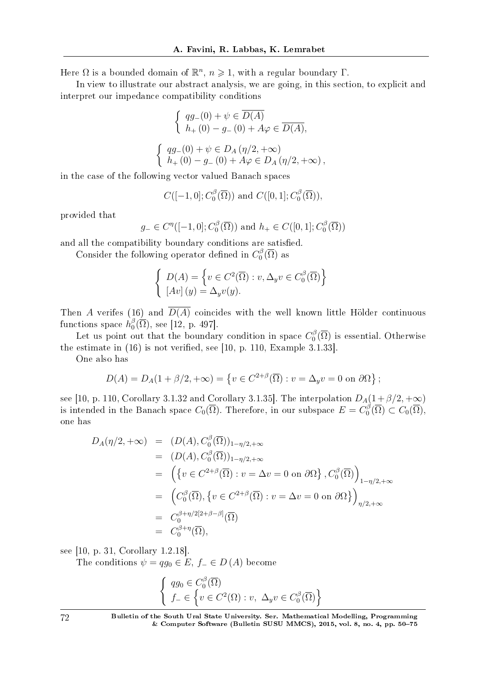Here  $\Omega$  is a bounded domain of  $\mathbb{R}^n$ ,  $n \geqslant 1$ , with a regular boundary  $\Gamma$ .

In view to illustrate our abstract analysis, we are going, in this section, to explicit and interpret our impedance compatibility conditions

$$
\begin{cases}\n qg_{-}(0) + \psi \in \overline{D(A)} \\
 h_{+}(0) - g_{-}(0) + A\varphi \in \overline{D(A)},\n\end{cases}
$$
\n
$$
\begin{cases}\n qg_{-}(0) + \psi \in D_A(\eta/2, +\infty) \\
 h_{+}(0) - g_{-}(0) + A\varphi \in D_A(\eta/2, +\infty),\n\end{cases}
$$

in the case of the following vector valued Banach spaces

 $C([-1, 0]; C_0^{\beta}]$  $C([0,1];C_0^{\beta}$  $\binom{18}{0}(\Omega)$ <sup>,</sup>

provided that

$$
g_{-} \in C^{\eta}([-1,0]; C_0^{\beta}(\overline{\Omega}))
$$
 and  $h_{+} \in C([0,1]; C_0^{\beta}(\overline{\Omega}))$ 

and all the compatibility boundary conditions are satisfied.

Consider the following operator defined in  $C_0^{\beta}$  $\int_0^{\beta}(\Omega)$  as

$$
\begin{cases}\nD(A) = \left\{ v \in C^2(\overline{\Omega}) : v, \Delta_y v \in C_0^{\beta}(\overline{\Omega}) \right\} \\
[Av](y) = \Delta_y v(y).\n\end{cases}
$$

Then *A* verifes (16) and  $\overline{D(A)}$  coincides with the well known little Hölder continuous functions space  $h_0^{\beta}$  $_{0}^{\beta}(\Omega)$ , see [12, p. 497].

Let us point out that the boundary condition in space  $C_0^{\beta}$  $\binom{10}{0}$  ( $\Omega$ ) is essential. Otherwise the estimate in  $(16)$  is not verified, see [10, p. 110, Example 3.1.33].

One also has

$$
D(A) = D_A(1 + \beta/2, +\infty) = \{v \in C^{2+\beta}(\overline{\Omega}) : v = \Delta_y v = 0 \text{ on } \partial\Omega\};
$$

see [10, p. 110, Corollary 3.1.32 and Corollary 3.1.35]. The interpolation  $D_A(1+\beta/2,+\infty)$ is intended in the Banach space  $C_0(\overline{\Omega})$ . Therefore, in our subspace  $E = C_0^{\beta}$  $C_0^{0}(\Omega) \subset C_0(\Omega),$ one has

$$
D_A(\eta/2, +\infty) = (D(A), C_0^{\beta}(\overline{\Omega}))_{1-\eta/2, +\infty}
$$
  
\n
$$
= (D(A), C_0^{\beta}(\overline{\Omega}))_{1-\eta/2, +\infty}
$$
  
\n
$$
= \left(\{v \in C^{2+\beta}(\overline{\Omega}) : v = \Delta v = 0 \text{ on } \partial\Omega\}, C_0^{\beta}(\overline{\Omega})\right)_{1-\eta/2, +\infty}
$$
  
\n
$$
= (C_0^{\beta}(\overline{\Omega}), \{v \in C^{2+\beta}(\overline{\Omega}) : v = \Delta v = 0 \text{ on } \partial\Omega\}\Big)_{\eta/2, +\infty}
$$
  
\n
$$
= C_0^{\beta+\eta/2[2+\beta-\beta]}(\overline{\Omega})
$$
  
\n
$$
= C_0^{\beta+\eta}(\overline{\Omega}),
$$

see [10, p. 31, Corollary 1.2.18].

The conditions  $\psi = qg_0 \in E$ ,  $f_-\in D(A)$  become

$$
\begin{cases} qg_0 \in C_0^{\beta}(\overline{\Omega}) \\ f_- \in \left\{ v \in C^2(\Omega) : v, \ \Delta_y v \in C_0^{\beta}(\overline{\Omega}) \right\} \end{cases}
$$

72 Bulletin of the South Ural State University. Ser. Mathematical Modelling, Programming & Computer Software (Bulletin SUSU MMCS), 2015, vol. 8, no. 4, pp.  $50-75$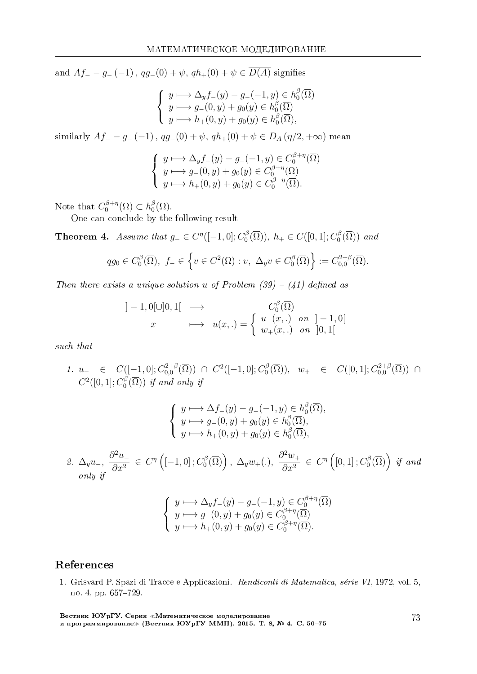and  $Af - g - (-1)$ ,  $qq - (0) + \psi$ ,  $qh_+(0) + \psi \in \overline{D(A)}$  signifies

$$
\begin{cases}\ny \longmapsto \Delta_y f_-(y) - g_-(-1, y) \in h_0^{\beta}(\overline{\Omega}) \\
y \longmapsto g_-(0, y) + g_0(y) \in h_0^{\beta}(\overline{\Omega}) \\
y \longmapsto h_+(0, y) + g_0(y) \in h_0^{\beta}(\overline{\Omega}),\n\end{cases}
$$

similarly  $Af_+ - g_-(-1)$ ,  $qq_-(0) + \psi$ ,  $qh_+(0) + \psi \in D_A(\eta/2, +\infty)$  mean

$$
\begin{cases}\ny \longmapsto \Delta_y f_-(y) - g_-(-1, y) \in C_0^{\beta + \eta}(\overline{\Omega}) \\
y \longmapsto g_-(0, y) + g_0(y) \in C_0^{\beta + \eta}(\overline{\Omega}) \\
y \longmapsto h_+(0, y) + g_0(y) \in C_0^{\beta + \eta}(\overline{\Omega}).\n\end{cases}
$$

Note that  $C_0^{\beta+\eta}$  $h_0^{\beta+\eta}(\overline{\Omega}) \subset h_0^{\beta}$  $\, \, \stackrel{\scriptscriptstyle \beta}{\scriptscriptstyle \gamma}(\Omega) .$ 

One can conclude by the following result

Theorem 4. Assume that  $g_-\in C^{\eta}([-1,0];C_0^{\beta}]$  $b_0^{\beta}(\overline{\Omega})$ ,  $h_+ \in C([0,1]; C_0^{\beta})$  $\binom{15}{0}$  ( $\Omega$ ) and

$$
qg_0 \in C_0^{\beta}(\overline{\Omega}), \ f_- \in \left\{ v \in C^2(\Omega) : v, \ \Delta_y v \in C_0^{\beta}(\overline{\Omega}) \right\} := C_{0,0}^{2+\beta}(\overline{\Omega}).
$$

Then there exists a unique solution *u* of Problem  $(39) - (41)$  defined as

$$
]-1,0[\cup]0,1[ \longrightarrow C_0^{\beta}(\overline{\Omega})
$$
  
 $x \longmapsto u(x,.) = \begin{cases} u_-(x,.) & \text{on } |-1,0[ \\ w_+(x,.) & \text{on } ]0,1[ \end{cases}$ 

such that

1. *u*<sub>−</sub>  $\in$  *C*([−1, 0];  $C_{0,0}^{2+\beta}$  $C_0^{2+\beta}(\overline{\Omega})$  ∩  $C^2([-1,0];C_0^{\beta})$  $\binom{16}{0}$ ,  $w_+$   $\in$   $C([0,1]; C^{2+\beta}_{0,0}$ 0*,*0 (Ω)) *∩*  $C^2([0,1];C_0^{\beta})$  $\binom{10}{0}$  (C)) if and only if

$$
\begin{cases}\ny \longmapsto \Delta f_{-}(y) - g_{-}(-1, y) \in h_0^{\beta}(\overline{\Omega}), \\
y \longmapsto g_{-}(0, y) + g_0(y) \in h_0^{\beta}(\overline{\Omega}), \\
y \longmapsto h_{+}(0, y) + g_0(y) \in h_0^{\beta}(\overline{\Omega}),\n\end{cases}
$$

2. 
$$
\Delta_y u_-, \frac{\partial^2 u_-}{\partial x^2} \in C^{\eta} \left( [-1,0]; C_0^{\beta}(\overline{\Omega}) \right), \ \Delta_y w_+(\cdot), \ \frac{\partial^2 w_+}{\partial x^2} \in C^{\eta} \left( [0,1]; C_0^{\beta}(\overline{\Omega}) \right) \text{ if and}
$$
  
only if

$$
\begin{cases}\ny \longmapsto \Delta_y f_-(y) - g_-(-1, y) \in C_0^{\beta + \eta}(\overline{\Omega}) \\
y \longmapsto g_-(0, y) + g_0(y) \in C_0^{\beta + \eta}(\overline{\Omega}) \\
y \longmapsto h_+(0, y) + g_0(y) \in C_0^{\beta + \eta}(\overline{\Omega}).\n\end{cases}
$$

# References

1. Grisvard P. Spazi di Tracce e Applicazioni. Rendiconti di Matematica, serie VI, 1972, vol. 5, no. 4, pp. 657-729.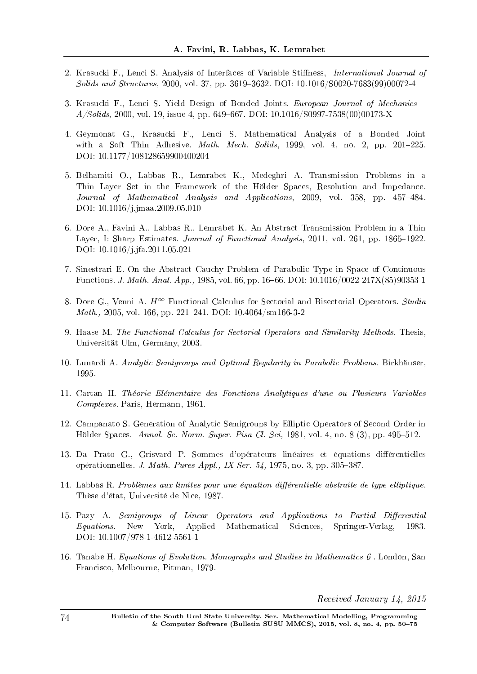- 2. Krasucki F., Lenci S. Analysis of Interfaces of Variable Stiffness, *International Journal of*  $Solids$  and Structures, 2000, vol. 37, pp. 3619-3632. DOI: 10.1016/S0020-7683(99)00072-4
- 3. Krasucki F., Lenci S. Yield Design of Bonded Joints. European Journal of Mechanics  $A/Solids, 2000,$  vol. 19, issue 4, pp. 649–667. DOI: 10.1016/S0997-7538(00)00173-X
- 4. Geymonat G., Krasucki F., Lenci S. Mathematical Analysis of a Bonded Joint with a Soft Thin Adhesive. *Math. Mech. Solids*, 1999, vol. 4, no. 2, pp. 201-225. DOI: 10.1177/108128659900400204
- 5. Belhamiti O., Labbas R., Lemrabet K., Medeghri A. Transmission Problems in a Thin Layer Set in the Framework of the Holder Spaces, Resolution and Impedance. Journal of Mathematical Analysis and Applications, 2009, vol. 358, pp. 457-484. DOI: 10.1016/j.jmaa.2009.05.010
- 6. Dore A., Favini A., Labbas R., Lemrabet K. An Abstract Transmission Problem in a Thin Layer, I: Sharp Estimates. Journal of Functional Analysis, 2011, vol. 261, pp. 1865–1922. DOI: 10.1016/j.jfa.2011.05.021
- 7. Sinestrari E. On the Abstract Cauchy Problem of Parabolic Type in Space of Continuous Functions. J. Math. Anal. App., 1985, vol. 66, pp. 16–66. DOI: 10.1016/0022-247X(85)90353-1
- 8. Dore G., Venni A. *H∞* Functional Calculus for Sectorial and Bisectorial Operators. Studia *Math.*, 2005, vol. 166, pp. 221-241. DOI:  $10.4064/\text{sm}166-3-2$
- 9. Haase M. The Functional Calculus for Sectorial Operators and Similarity Methods. Thesis, Universitat Ulm, Germany, 2003.
- 10. Lunardi A. Analytic Semigroups and Optimal Regularity in Parabolic Problems. Birkhäuser, 1995.
- 11. Cartan H. Theorie Elementaire des Fonctions Analytiques d'une ou Plusieurs Variables Complexes. Paris, Hermann, 1961.
- 12. Campanato S. Generation of Analytic Semigroups by Elliptic Operators of Second Order in Hölder Spaces. Annal. Sc. Norm. Super. Pisa Cl. Sci, 1981, vol. 4, no. 8  $(3)$ , pp. 495-512.
- 13. Da Prato G., Grisvard P. Sommes d'opérateurs linéaires et équations différentielles opérationnelles. J. Math. Pures Appl., IX Ser.  $54$ , 1975, no. 3, pp. 305-387.
- 14. Labbas R. Problèmes aux limites pour une équation différentielle abstraite de type elliptique. These d'etat, Universite de Nice, 1987.
- 15. Pazy A. Semigroups of Linear Operators and Applications to Partial Differential Equations. New York, Applied Mathematical Sciences, Springer-Verlag, 1983. DOI: 10.1007/978-1-4612-5561-1
- 16. Tanabe H. Equations of Evolution. Monographs and Studies in Mathematics 6 . London, San Francisco, Melbourne, Pitman, 1979.

Received January 14, 2015